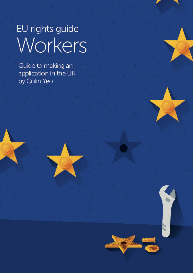EU rights guide Workers

Guide to making an application in the UK by Colin Yeo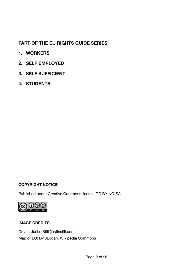#### **PART OF THE EU RIGHTS GUIDE SERIES:**

- **1. WORKERS**
- **2. SELF EMPLOYED**
- **3. SELF SUFFICIENT**
- **4. STUDENTS**

#### **COPYRIGHT NOTICE**

Published under Creative Commons license CC BY-NC-SA



#### **IMAGE CREDITS**

Cover: Justin Still [\(justinstill.com](http://justinstill.com/)) Map of EU: By JLogan, [Wikipedia Commons](http://en.wikipedia.org/wiki/File:Map_of_EU_states_blank.png)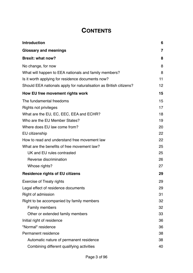# **CONTENTS**

| <b>Introduction</b>                                                | 6                       |
|--------------------------------------------------------------------|-------------------------|
| <b>Glossary and meanings</b>                                       | $\overline{\mathbf{z}}$ |
| <b>Brexit: what now?</b>                                           | 8                       |
| No change, for now                                                 | 8                       |
| What will happen to EEA nationals and family members?              | 8                       |
| Is it worth applying for residence documents now?                  | 11                      |
| Should EEA nationals apply for naturalisation as British citizens? | 12                      |
| How EU free movement rights work                                   | 15                      |
| The fundamental freedoms                                           | 15                      |
| Rights not privileges                                              | 17                      |
| What are the EU, EC, EEC, EEA and ECHR?                            | 18                      |
| Who are the EU Member States?                                      | 19                      |
| Where does EU law come from?                                       | 20                      |
| EU citizenship                                                     | 22                      |
| How to read and understand free movement law                       | 22                      |
| What are the benefits of free movement law?                        | 25                      |
| UK and EU rules contrasted                                         | 25                      |
| Reverse discrimination                                             | 26                      |
| Whose rights?                                                      | 27                      |
| <b>Residence rights of EU citizens</b>                             | 29                      |
| <b>Exercise of Treaty rights</b>                                   | 29                      |
| Legal effect of residence documents                                | 29                      |
| Right of admission                                                 | 31                      |
| Right to be accompanied by family members                          | 32                      |
| <b>Family members</b>                                              | 32                      |
| Other or extended family members                                   | 33                      |
| Initial right of residence                                         | 36                      |
| "Normal" residence                                                 | 36                      |
| Permanent residence                                                | 38                      |
| Automatic nature of permanent residence                            | 38                      |
| Combining different qualifying activities                          | 40                      |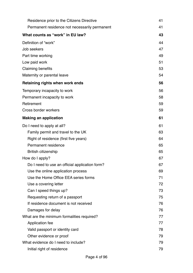| Residence prior to the Citizens Directive      | 41 |
|------------------------------------------------|----|
| Permanent residence not necessarily permanent  | 41 |
| What counts as "work" in EU law?               | 43 |
| Definition of "work"                           | 44 |
| Job seekers                                    | 47 |
| Part time working                              | 49 |
| Low paid work                                  | 51 |
| <b>Claiming benefits</b>                       | 53 |
| Maternity or parental leave                    | 54 |
| Retaining rights when work ends                | 56 |
| Temporary incapacity to work                   | 56 |
| Permanent incapacity to work                   | 58 |
| Retirement                                     | 59 |
| Cross border workers                           | 59 |
| <b>Making an application</b>                   | 61 |
| Do I need to apply at all?                     | 61 |
| Family permit and travel to the UK             | 63 |
| Right of residence (first five years)          | 64 |
| Permanent residence                            | 65 |
| <b>British citizenship</b>                     | 65 |
| How do I apply?                                | 67 |
| Do I need to use an official application form? | 67 |
| Use the online application process             | 69 |
| Use the Home Office EEA series forms           | 71 |
| Use a covering letter                          | 72 |
| Can I speed things up?                         | 73 |
| Requesting return of a passport                | 75 |
| If residence document is not received          | 76 |
| Damages for delay                              | 76 |
| What are the minimum formalities required?     | 77 |
| Application fee                                | 77 |
| Valid passport or identity card                | 78 |
| Other evidence or proof                        | 79 |
| What evidence do I need to include?            | 79 |
| Initial right of residence                     | 79 |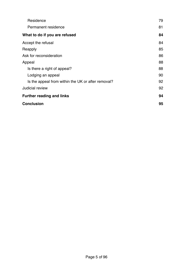| Residence                                          | 79 |
|----------------------------------------------------|----|
| Permanent residence                                | 81 |
| What to do if you are refused                      | 84 |
| Accept the refusal                                 | 84 |
| Reapply                                            | 85 |
| Ask for reconsideration                            | 86 |
| Appeal                                             | 88 |
| Is there a right of appeal?                        | 88 |
| Lodging an appeal                                  | 90 |
| Is the appeal from within the UK or after removal? | 92 |
| Judicial review                                    | 92 |
| <b>Further reading and links</b>                   | 94 |
| <b>Conclusion</b>                                  | 95 |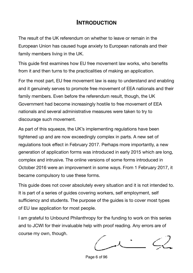## <span id="page-5-0"></span>**INTRODUCTION**

The result of the UK referendum on whether to leave or remain in the European Union has caused huge anxiety to European nationals and their family members living in the UK.

This guide first examines how EU free movement law works, who benefits from it and then turns to the practicalities of making an application.

For the most part, EU free movement law is easy to understand and enabling and it genuinely serves to promote free movement of EEA nationals and their family members. Even before the referendum result, though, the UK Government had become increasingly hostile to free movement of EEA nationals and several administrative measures were taken to try to discourage such movement.

As part of this squeeze, the UK's implementing regulations have been tightened up and are now exceedingly complex in parts. A new set of regulations took effect in February 2017. Perhaps more importantly, a new generation of application forms was introduced in early 2015 which are long, complex and intrusive. The online versions of some forms introduced in October 2016 were an improvement in some ways. From 1 February 2017, it became compulsory to use these forms.

This guide does not cover absolutely every situation and it is not intended to. It is part of a series of guides covering workers, self employment, self sufficiency and students. The purpose of the guides is to cover most types of EU law application for most people.

I am grateful to Unbound Philanthropy for the funding to work on this series and to JCWI for their invaluable help with proof reading. Any errors are of course my own, though.

Page 6 of 96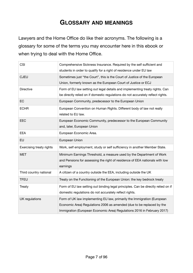## <span id="page-6-0"></span>**GLOSSARY AND MEANINGS**

Lawyers and the Home Office do like their acronyms. The following is a glossary for some of the terms you may encounter here in this ebook or when trying to deal with the Home Office.

| CSI                             | Comprehensive Sickness Insurance. Required by the self sufficient and<br>students in order to qualify for a right of residence under EU law                                                                                 |
|---------------------------------|-----------------------------------------------------------------------------------------------------------------------------------------------------------------------------------------------------------------------------|
| <b>CJEU</b>                     | Sometimes just "the Court", this is the Court of Justice of the European<br>Union, formerly known as the European Court of Justice or ECJ                                                                                   |
| Directive                       | Form of EU law setting out legal details and implementing treaty rights. Can<br>be directly relied on if domestic regulations do not accurately reflect rights.                                                             |
| <b>EC</b>                       | European Community, predecessor to the European Union                                                                                                                                                                       |
| <b>ECHR</b>                     | European Convention on Human Rights. Different body of law not really<br>related to EU law.                                                                                                                                 |
| EEC                             | European Economic Community, predecessor to the European Community<br>and, later, European Union                                                                                                                            |
| EEA                             | European Economic Area.                                                                                                                                                                                                     |
| <b>EU</b>                       | European Union                                                                                                                                                                                                              |
| <b>Exercising treaty rights</b> | Work, self employment, study or self sufficiency in another Member State.                                                                                                                                                   |
| <b>MET</b>                      | Minimum Earnings Threshold, a measure used by the Department of Work<br>and Pensions for assessing the right of residence of EEA nationals with low<br>earnings                                                             |
| Third country national          | A citizen of a country outside the EEA, including outside the UK                                                                                                                                                            |
| <b>TFEU</b>                     | Treaty on the Functioning of the European Union: the key bedrock treaty                                                                                                                                                     |
| Treaty                          | Form of EU law setting out binding legal principles. Can be directly relied on if<br>domestic regulations do not accurately reflect rights.                                                                                 |
| UK regulations                  | Form of UK law implementing EU law, primarily the Immigration (European<br>Economic Area) Regulations 2006 as amended (due to be replaced by the<br>Immigration (European Economic Area) Regulations 2016 in February 2017) |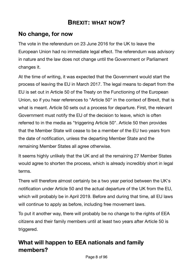# <span id="page-7-0"></span>**BREXIT: WHAT NOW?**

## <span id="page-7-1"></span>**No change, for now**

The vote in the referendum on 23 June 2016 for the UK to leave the European Union had no immediate legal effect. The referendum was advisory in nature and the law does not change until the Government or Parliament changes it.

At the time of writing, it was expected that the Government would start the process of leaving the EU in March 2017. The legal means to depart from the EU is set out in Article 50 of the Treaty on the Functioning of the European Union, so if you hear references to "Article 50" in the context of Brexit, that is what is meant. Article 50 sets out a process for departure. First, the relevant Government must notify the EU of the decision to leave, which is often referred to in the media as "triggering Article 50". Article 50 then provides that the Member State will cease to be a member of the EU two years from the date of notification, unless the departing Member State and the remaining Member States all agree otherwise.

It seems highly unlikely that the UK and all the remaining 27 Member States would agree to shorten the process, which is already incredibly short in legal terms.

There will therefore almost certainly be a two year period between the UK's notification under Article 50 and the actual departure of the UK from the EU, which will probably be in April 2019. Before and during that time, all EU laws will continue to apply as before, including free movement laws.

To put it another way, there will probably be no change to the rights of EEA citizens and their family members until at least two years after Article 50 is triggered.

# <span id="page-7-2"></span>**What will happen to EEA nationals and family members?**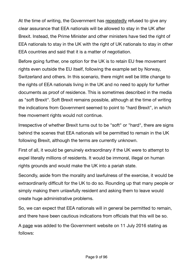At the time of writing, the Government has [repeatedly](https://www.freemovement.org.uk/what-was-said-in-parliament-about-the-status-of-eu-nationals-in-the-uk/) refused to give any clear assurance that EEA nationals will be allowed to stay in the UK after Brexit. Instead, the Prime Minister and other ministers have tied the right of EEA nationals to stay in the UK with the right of UK nationals to stay in other EEA countries and said that it is a matter of negotiation.

Before going further, one option for the UK is to retain EU free movement rights even outside the EU itself, following the example set by Norway, Switzerland and others. In this scenario, there might well be little change to the rights of EEA nationals living in the UK and no need to apply for further documents as proof of residence. This is sometimes described in the media as "soft Brexit". Soft Brexit remains possible, although at the time of writing the indications from Government seemed to point to "hard Brexit", in which free movement rights would not continue.

Irrespective of whether Brexit turns out to be "soft" or "hard", there are signs behind the scenes that EEA nationals will be permitted to remain in the UK following Brexit, although the terms are currently unknown.

First of all, it would be genuinely extraordinary if the UK were to attempt to expel literally millions of residents. It would be immoral, illegal on human rights grounds and would make the UK into a pariah state.

Secondly, aside from the morality and lawfulness of the exercise, it would be extraordinarily difficult for the UK to do so. Rounding up that many people or simply making them unlawfully resident and asking them to leave would create huge administrative problems.

So, we can expect that EEA nationals will in general be permitted to remain, and there have been cautious indications from officials that this will be so.

A [page](https://www.gov.uk/government/news/statement-the-status-of-eu-nationals-in-the-uk) was added to the Government website on 11 July 2016 stating as follows: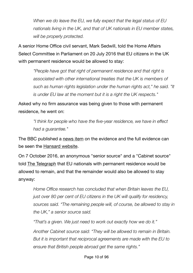*When we do leave the EU, we fully expect that the legal status of EU nationals living in the UK, and that of UK nationals in EU member states, will be properly protected.*

A senior Home Office civil servant, Mark Sedwill, told the Home Affairs Select Committee in Parliament on 20 July 2016 that EU citizens in the UK with permanent residence would be allowed to stay:

*"People have got that right of permanent residence and that right is associated with other international treaties that the UK is members of such as human rights legislation under the human rights act," he said. "It is under EU law at the moment but it is a right the UK respects."*

Asked why no firm assurance was being given to those with permanent residence, he went on:

> *"I think for people who have the five-year residence, we have in effect had a guarantee."*

The BBC published a [news item](http://www.bbc.co.uk/news/uk-politics-36849071) on the evidence and the full evidence can be seen the [Hansard website](http://www.parliament.uk/business/committees/committees-a-z/commons-select/home-affairs-committee/news-parliament-2015/160718-brexit-evidence/).

On 7 October 2016, an anonymous "senior source" and a "Cabinet source" told [The Telegraph](http://www.telegraph.co.uk/news/2016/10/07/every-eu-migrant-can-stay-after-brexit-600000-will-be-given-amne/) that EU nationals with permanent residence would be allowed to remain, and that the remainder would also be allowed to stay anyway:

*Home Office research has concluded that when Britain leaves the EU, just over 80 per cent of EU citizens in the UK will qualify for residency, sources said. "The remaining people will, of course, be allowed to stay in the UK," a senior source said.* 

*"That's a given. We just need to work out exactly how we do it."* 

*Another Cabinet source said: "They will be allowed to remain in Britain. But it is important that reciprocal agreements are made with the EU to ensure that British people abroad get the same rights."*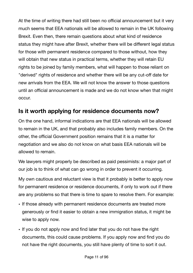At the time of writing there had still been no official announcement but it very much seems that EEA nationals will be allowed to remain in the UK following Brexit. Even then, there remain questions about what kind of residence status they might have after Brexit, whether there will be different legal status for those with permanent residence compared to those without, how they will obtain that new status in practical terms, whether they will retain EU rights to be joined by family members, what will happen to those reliant on "derived" rights of residence and whether there will be any cut-off date for new arrivals from the EEA. We will not know the answer to those questions until an official announcement is made and we do not know when that might occur.

# <span id="page-10-0"></span>**Is it worth applying for residence documents now?**

On the one hand, informal indications are that EEA nationals will be allowed to remain in the UK, and that probably also includes family members. On the other, the official Government position remains that it is a matter for negotiation and we also do not know on what basis EEA nationals will be allowed to remain.

We lawyers might properly be described as paid pessimists: a major part of our job is to think of what can go wrong in order to prevent it occurring.

My own cautious and reluctant view is that it probably is better to apply now for permanent residence or residence documents, if only to work out if there are any problems so that there is time to spare to resolve them. For example:

- If those already with permanent residence documents are treated more generously or find it easier to obtain a new immigration status, it might be wise to apply now.
- If you do not apply now and find later that you do not have the right documents, this could cause problems. If you apply now and find you do not have the right documents, you still have plenty of time to sort it out.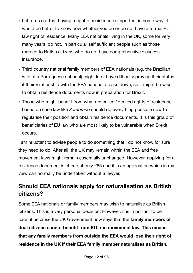- If it turns out that having a right of residence is important in some way, it would be better to know now whether you do or do not have a formal EU law right of residence. Many EEA nationals living in the UK, some for very many years, do not, in particular self sufficient people such as those married to British citizens who do not have comprehensive sickness insurance.
- Third country national family members of EEA nationals (e.g. the Brazilian wife of a Portuguese national) might later have difficulty proving their status if their relationship with the EEA national breaks down, so it might be wise to obtain residence documents now in preparation for Brexit.
- Those who might benefit from what are called "derived rights of residence" based on case law like *Zambrano* should do everything possible now to regularise their position and obtain residence documents. It is this group of beneficiaries of EU law who are most likely to be vulnerable when Brexit occurs.

I am reluctant to advise people to do something that I do not know for sure they need to do. After all, the UK may remain within the EEA and free movement laws might remain essentially unchanged. However, applying for a residence document is cheap at only £65 and it is an application which in my view can normally be undertaken without a lawyer.

# <span id="page-11-0"></span>**Should EEA nationals apply for naturalisation as British citizens?**

Some EEA nationals or family members may wish to naturalise as British citizens. This is a very personal decision. However, it is important to be careful because the UK Government now says that the **family members of dual citizens cannot benefit from EU free movement law. This means that any family members from outside the EEA would lose their right of residence in the UK if their EEA family member naturalises as British.**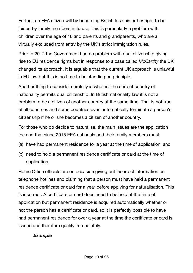Further, an EEA citizen will by becoming British lose his or her right to be joined by family members in future. This is particularly a problem with children over the age of 18 and parents and grandparents, who are all virtually excluded from entry by the UK's strict immigration rules.

Prior to 2012 the Government had no problem with dual citizenship giving rise to EU residence rights but in response to a case called *McCarthy* the UK changed its approach. It is arguable that the current UK approach is unlawful in EU law but this is no time to be standing on principle.

Another thing to consider carefully is whether the current country of nationality permits dual citizenship. In British nationality law it is not a problem to be a citizen of another country at the same time. That is not true of all countries and some countries even automatically terminate a person's citizenship if he or she becomes a citizen of another country.

For those who do decide to naturalise, the main issues are the application fee and that since 2015 EEA nationals and their family members must

- (a) have had permanent residence for a year at the time of application; and
- (b) need to hold a permanent residence certificate or card at the time of application.

Home Office officials are on occasion giving out incorrect information on telephone hotlines and claiming that a person must have held a permanent residence certificate or card for a year before applying for naturalisation. This is incorrect. A certificate or card does need to be held at the time of application but permanent residence is acquired automatically whether or not the person has a certificate or card, so it is perfectly possible to have had permanent residence for over a year at the time the certificate or card is issued and therefore qualify immediately.

### *Example*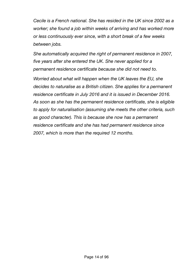*Cecile is a French national. She has resided in the UK since 2002 as a worker; she found a job within weeks of arriving and has worked more or less continuously ever since, with a short break of a few weeks between jobs.* 

*She automatically acquired the right of permanent residence in 2007, five years after she entered the UK. She never applied for a permanent residence certificate because she did not need to.* 

*Worried about what will happen when the UK leaves the EU, she decides to naturalise as a British citizen. She applies for a permanent residence certificate in July 2016 and it is issued in December 2016. As soon as she has the permanent residence certificate, she is eligible to apply for naturalisation (assuming she meets the other criteria, such as good character). This is because she now has a permanent residence certificate and she has had permanent residence since 2007, which is more than the required 12 months.*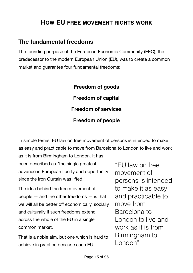# <span id="page-14-0"></span>**HOW EU FREE MOVEMENT RIGHTS WORK**

### <span id="page-14-1"></span>**The fundamental freedoms**

The founding purpose of the European Economic Community (EEC), the predecessor to the modern European Union (EU), was to create a common market and guarantee four fundamental freedoms:

> **Freedom of goods Freedom of capital Freedom of services Freedom of people**

In simple terms, EU law on free movement of persons is intended to make it as easy and practicable to move from Barcelona to London to live and work

as it is from Birmingham to London. It has been [described](http://blogs.spectator.co.uk/coffeehouse/2014/07/britain-has-very-little-to-fear-from-the-echr-so-why-are-so-many-tories-so-afraid-of-it/) as "the single greatest advance in European liberty and opportunity since the Iron Curtain was lifted."

The idea behind the free movement of people — and the other freedoms — is that we will all be better off economically, socially and culturally if such freedoms extend across the whole of the EU in a single common market.

That is a noble aim, but one which is hard to achieve in practice because each EU

"EU law on free movement of persons is intended to make it as easy and practicable to move from Barcelona to London to live and work as it is from Birmingham to London"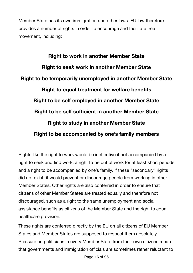Member State has its own immigration and other laws. EU law therefore provides a number of rights in order to encourage and facilitate free movement, including:

**Right to work in another Member State Right to** *seek* **work in another Member State Right to be temporarily unemployed in another Member State Right to equal treatment for welfare benefits Right to be self employed in another Member State Right to be self sufficient in another Member State Right to study in another Member State Right to be accompanied by one's family members** 

Rights like the right to work would be ineffective if not accompanied by a right to seek and find work, a right to be out of work for at least short periods and a right to be accompanied by one's family. If these "secondary" rights did not exist, it would prevent or discourage people from working in other Member States. Other rights are also conferred in order to ensure that citizens of other Member States are treated equally and therefore not discouraged, such as a right to the same unemployment and social assistance benefits as citizens of the Member State and the right to equal healthcare provision.

These rights are conferred directly by the EU on all citizens of EU Member States and Member States are supposed to respect them absolutely. Pressure on politicians in every Member State from their own citizens mean that governments and immigration officials are sometimes rather reluctant to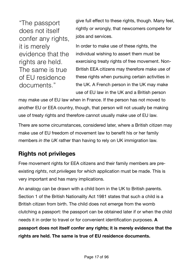"The passport does not itself confer any rights, it is merely evidence that the rights are held. The same is true of EU residence documents."

give full effect to these rights, though. Many feel, rightly or wrongly, that newcomers compete for jobs and services.

In order to make use of these rights, the individual wishing to assert them must be exercising treaty rights of free movement. Non-British EEA citizens may therefore make use of these rights when pursuing certain activities in the UK. A French person in the UK may make use of EU law in the UK and a British person

may make use of EU law when in France. If the person has not moved to another EU or EEA country, though, that person will not usually be making use of treaty rights and therefore cannot usually make use of EU law.

There are some circumstances, considered later, where a British citizen may make use of EU freedom of movement law to benefit his or her family members *in the UK* rather than having to rely on UK immigration law.

# <span id="page-16-0"></span>**Rights not privileges**

Free movement rights for EEA citizens and their family members are preexisting *rights*, not *privileges* for which application must be made. This is very important and has many implications.

An analogy can be drawn with a child born in the UK to British parents. Section 1 of the British Nationality Act 1981 states that such a child is a British citizen from birth. The child does not emerge from the womb clutching a passport: the passport can be obtained later if or when the child needs it in order to travel or for convenient identification purposes. **A passport does not itself confer any rights; it is merely evidence that the rights are held. The same is true of EU residence documents.**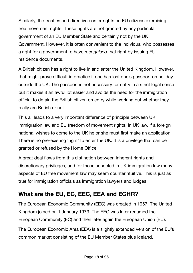Similarly, the treaties and directive confer rights on EU citizens exercising free movement rights. These rights are not granted by any particular government of an EU Member State and certainly not by the UK Government. However, it is often convenient to the individual who possesses a right for a government to have *recognised* that right by issuing EU residence documents.

A British citizen has a right to live in and enter the United Kingdom. However, that might prove difficult in practice if one has lost one's passport on holiday outside the UK. The passport is not necessary for entry in a strict legal sense but it makes it an awful lot easier and avoids the need for the immigration official to detain the British citizen on entry while working out whether they really are British or not.

This all leads to a very important difference of principle between UK immigration law and EU freedom of movement rights. In UK law, if a foreign national wishes to come to the UK he or she must first make an application. There is no pre-existing 'right' to enter the UK. It is a privilege that can be granted or refused by the Home Office.

A great deal flows from this distinction between inherent rights and discretionary privileges, and for those schooled in UK immigration law many aspects of EU free movement law may seem counterintuitive. This is just as true for immigration officials as immigration lawyers and judges.

# <span id="page-17-0"></span>**What are the EU, EC, EEC, EEA and ECHR?**

The European Economic Community (EEC) was created in 1957. The United Kingdom joined on 1 January 1973. The EEC was later renamed the European Community (EC) and then later again the European Union (EU).

The European Economic Area (EEA) is a slightly extended version of the EU's common market consisting of the EU Member States plus Iceland,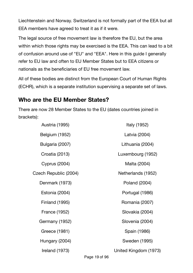Liechtenstein and Norway. Switzerland is not formally part of the EEA but all EEA members have agreed to treat it as if it were.

The legal source of free movement law is therefore the EU, but the area within which those rights may be exercised is the EEA. This can lead to a bit of confusion around use of "EU" and "EEA". Here in this guide I generally refer to EU law and often to EU Member States but to EEA citizens or nationals as the beneficiaries of EU free movement law.

All of these bodies are distinct from the European Court of Human Rights (ECHR), which is a separate institution supervising a separate set of laws.

## <span id="page-18-0"></span>**Who are the EU Member States?**

There are now 28 Member States to the EU (dates countries joined in brackets):

| <b>Austria (1995)</b> | Italy (1952)          |
|-----------------------|-----------------------|
| Belgium (1952)        | Latvia (2004)         |
| Bulgaria (2007)       | Lithuania (2004)      |
| Croatia (2013)        | Luxembourg (1952)     |
| <b>Cyprus (2004)</b>  | Malta (2004)          |
| Czech Republic (2004) | Netherlands (1952)    |
| Denmark (1973)        | Poland (2004)         |
| Estonia (2004)        | Portugal (1986)       |
| <b>Finland (1995)</b> | Romania (2007)        |
| <b>France (1952)</b>  | Slovakia (2004)       |
| Germany (1952)        | Slovenia (2004)       |
| Greece (1981)         | Spain (1986)          |
| Hungary (2004)        | Sweden (1995)         |
| Ireland (1973)        | United Kingdom (1973) |

Page 19 of 96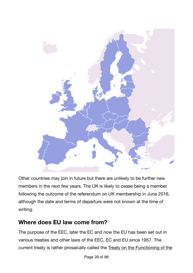

Other countries may join in future but there are unlikely to be further new members in the next few years. The UK is likely to cease being a member following the outcome of the referendum on UK membership in June 2016, although the date and terms of departure were not known at the time of writing.

## <span id="page-19-0"></span>**Where does EU law come from?**

The purpose of the EEC, later the EC and now the EU has been set out in various treaties and other laws of the EEC, EC and EU since 1957. The current treaty is rather prosaically called the [Treaty on the Functioning of the](http://eur-lex.europa.eu/legal-content/EN/TXT/?uri=celex:12012E/TXT)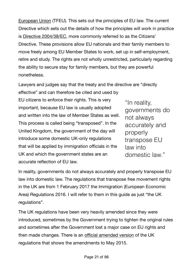[European Union](http://eur-lex.europa.eu/legal-content/EN/TXT/?uri=celex:12012E/TXT) (TFEU). This sets out the principles of EU law. The current Directive which sets out the details of how the principles will work in practice is [Directive 2004/38/EC](http://eur-lex.europa.eu/LexUriServ/LexUriServ.do?uri=OJ:L:2004:158:0077:0123:en:PDF), more commonly referred to as the Citizens' Directive. These provisions allow EU nationals and their family members to move freely among EU Member States to work, set up in self-employment, retire and study. The rights are not wholly unrestricted, particularly regarding the ability to secure stay for family members, but they are powerful nonetheless.

Lawyers and judges say that the treaty and the directive are "directly

effective" and can therefore be cited and used by EU citizens to enforce their rights. This is very important, because EU law is usually adopted and written into the law of Member States as well. This process is called being "transposed". In the United Kingdom, the government of the day will introduce some domestic UK-only regulations that will be applied by immigration officials in the UK and which the government states are an accurate reflection of EU law.

"In reality, governments do not always accurately and properly transpose EU law into domestic law."

In reality, governments do not always accurately and properly transpose EU law into domestic law. The regulations that transpose free movement rights in the UK are from 1 February 2017 the Immigration (European Economic Area) Regulations 2016. I will refer to them in this guide as just "the UK regulations".

The UK regulations have been very heavily amended since they were introduced, sometimes by the Government trying to tighten the original rules and sometimes after the Government lost a major case on EU rights and then made changes. There is an offi[cial amended version](http://www.legislation.gov.uk/uksi/2006/1003) of the UK regulations that shows the amendments to May 2015.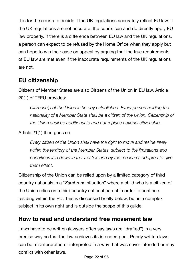It is for the courts to decide if the UK regulations accurately reflect EU law. If the UK regulations are not accurate, the courts can and do directly apply EU law properly. If there is a difference between EU law and the UK regulations, a person can expect to be refused by the Home Office when they apply but can hope to win their case on appeal by arguing that the true requirements of EU law are met even if the inaccurate requirements of the UK regulations are not.

# <span id="page-21-0"></span>**EU citizenship**

Citizens of Member States are also Citizens of the Union in EU law. Article 20(1) of TFEU provides:

*Citizenship of the Union is hereby established. Every person holding the nationality of a Member State shall be a citizen of the Union. Citizenship of the Union shall be additional to and not replace national citizenship.*

### Article 21(1) then goes on:

*Every citizen of the Union shall have the right to move and reside freely within the territory of the Member States, subject to the limitations and conditions laid down in the Treaties and by the measures adopted to give them effect.*

Citizenship of the Union can be relied upon by a limited category of third country nationals in a "*Zambrano* situation" where a child who is a citizen of the Union relies on a third country national parent in order to continue residing within the EU. This is discussed briefly below, but is a complex subject in its own right and is outside the scope of this guide.

### <span id="page-21-1"></span>**How to read and understand free movement law**

Laws have to be written (lawyers often say laws are "drafted") in a very precise way so that the law achieves its intended goal. Poorly written laws can be misinterpreted or interpreted in a way that was never intended or may conflict with other laws.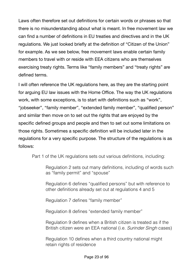Laws often therefore set out definitions for certain words or phrases so that there is no misunderstanding about what is meant. In free movement law we can find a number of definitions in EU treaties and directives and in the UK regulations. We just looked briefly at the definition of "Citizen of the Union" for example. As we see below, free movement laws enable certain family members to travel with or reside with EEA citizens who are themselves exercising treaty rights. Terms like "family members" and "treaty rights" are defined terms.

I will often reference the UK regulations here, as they are the starting point for arguing EU law issues with the Home Office. The way the UK regulations work, with some exceptions, is to start with definitions such as "work", "jobseeker", "family member", "extended family member", "qualified person" and similar then move on to set out the rights that are enjoyed by the specific defined groups and people and then to set out some limitations on those rights. Sometimes a specific definition will be included later in the regulations for a very specific purpose. The structure of the regulations is as follows:

Part 1 of the UK regulations sets out various definitions, including:

Regulation 2 sets out many definitions, including of words such as "family permit" and "spouse"

Regulation 6 defines "qualified persons" but with reference to other definitions already set out at regulations 4 and 5

Regulation 7 defines "family member"

Regulation 8 defines "extended family member"

Regulation 9 defines when a British citizen is treated as if the British citizen were an EEA national (i.e. *Surinder Singh* cases)

Regulation 10 defines when a third country national might retain rights of residence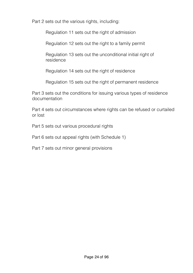Part 2 sets out the various rights, including:

Regulation 11 sets out the right of admission

Regulation 12 sets out the right to a family permit

Regulation 13 sets out the unconditional initial right of residence

Regulation 14 sets out the right of residence

Regulation 15 sets out the right of permanent residence

Part 3 sets out the conditions for issuing various types of residence documentation

Part 4 sets out circumstances where rights can be refused or curtailed or lost

Part 5 sets out various procedural rights

Part 6 sets out appeal rights (with Schedule 1)

Part 7 sets out minor general provisions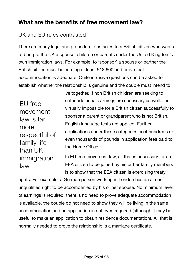## <span id="page-24-0"></span>**What are the benefits of free movement law?**

### <span id="page-24-1"></span>UK and EU rules contrasted

There are many legal and procedural obstacles to a British citizen who wants to bring to the UK a spouse, children or parents under the United Kingdom's own immigration laws. For example, to 'sponsor' a spouse or partner the British citizen must be earning at least £18,600 and prove that accommodation is adequate. Quite intrusive questions can be asked to establish whether the relationship is genuine and the couple must intend to

EU free movement law is far more respectful of family life than UK immigration law

live together. If non British children are seeking to enter additional earnings are necessary as well. It is virtually impossible for a British citizen successfully to sponsor a parent or grandparent who is not British. English language tests are applied. Further, applications under these categories cost hundreds or even thousands of pounds in application fees paid to the Home Office.

In EU free movement law, all that is necessary for an EEA citizen to be joined by his or her family members is to show that the EEA citizen is exercising treaty

rights. For example, a German person working in London has an almost unqualified right to be accompanied by his or her spouse. No minimum level of earnings is required, there is no need to prove adequate accommodation is available, the couple do not need to show they will be living in the same accommodation and an application is not even required (although it may be useful to make an application to obtain residence documentation). All that is normally needed to prove the relationship is a marriage certificate.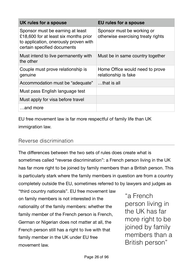| UK rules for a spouse                                                                                                                             | EU rules for a spouse                                            |
|---------------------------------------------------------------------------------------------------------------------------------------------------|------------------------------------------------------------------|
| Sponsor must be earning at least<br>£18,600 for at least six months prior<br>to application, onerously proven with<br>certain specified documents | Sponsor must be working or<br>otherwise exercising treaty rights |
| Must intend to live permanently with<br>the other                                                                                                 | Must be in same country together                                 |
| Couple must prove relationship is<br>genuine                                                                                                      | Home Office would need to prove<br>relationship is fake          |
| Accommodation must be "adequate"                                                                                                                  | that is all                                                      |
| Must pass English language test                                                                                                                   |                                                                  |
| Must apply for visa before travel                                                                                                                 |                                                                  |
| and more                                                                                                                                          |                                                                  |

EU free movement law is far more respectful of family life than UK immigration law.

### <span id="page-25-0"></span>Reverse discrimination

The differences between the two sets of rules does create what is sometimes called "reverse discrimination": a French person living in the UK has far more right to be joined by family members than a British person. This is particularly stark where the family members in question are from a country completely outside the EU, sometimes referred to by lawyers and judges as

"third country nationals". EU free movement law on family members is not interested in the nationality of the family members: whether the family member of the French person is French, German or Nigerian does not matter at all, the French person still has a right to live with that family member in the UK under EU free movement law.

"a French person living in the UK has far more right to be joined by family members than a British person"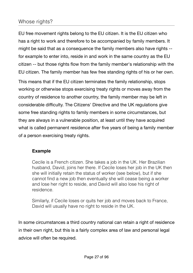### <span id="page-26-0"></span>Whose rights?

EU free movement rights belong to the EU citizen. It is the EU citizen who has a right to work and therefore to be accompanied by family members. It might be said that as a consequence the family members also have rights - for example to enter into, reside in and work in the same country as the EU citizen -- but those rights flow from the family member's relationship with the EU citizen. The family member has few free standing rights of his or her own.

This means that if the EU citizen terminates the family relationship, stops working or otherwise stops exercising treaty rights or moves away from the country of residence to another country, the family member may be left in considerable difficulty. The Citizens' Directive and the UK regulations give some free standing rights to family members in some circumstances, but they are always in a vulnerable position, at least until they have acquired what is called permanent residence after five years of being a family member of a person exercising treaty rights.

#### **Example**

Cecile is a French citizen. She takes a job in the UK. Her Brazilian husband, David, joins her there. If Cecile loses her job in the UK then she will initially retain the status of worker (see below), but if she cannot find a new job then eventually she will cease being a worker and lose her right to reside, and David will also lose his right of residence.

Similarly, if Cecile loses or quits her job and moves back to France, David will usually have no right to reside in the UK.

In some circumstances a third country national can retain a right of residence in their own right, but this is a fairly complex area of law and personal legal advice will often be required.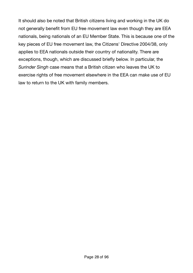It should also be noted that British citizens living and working in the UK do not generally benefit from EU free movement law even though they are EEA nationals, being nationals of an EU Member State. This is because one of the key pieces of EU free movement law, the Citizens' Directive 2004/38, only applies to EEA nationals outside their country of nationality. There are exceptions, though, which are discussed briefly below. In particular, the *Surinder Singh* case means that a British citizen who leaves the UK to exercise rights of free movement elsewhere in the EEA can make use of EU law to return to the UK with family members.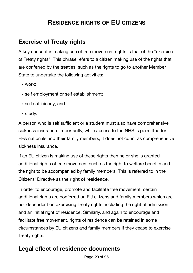# <span id="page-28-0"></span>**RESIDENCE RIGHTS OF EU CITIZENS**

## <span id="page-28-1"></span>**Exercise of Treaty rights**

A key concept in making use of free movement rights is that of the "exercise of Treaty rights". This phrase refers to a citizen making use of the rights that are conferred by the treaties, such as the rights to go to another Member State to undertake the following activities:

- work;
- self employment or self establishment;
- self sufficiency; and
- study.

A person who is self sufficient or a student must also have comprehensive sickness insurance. Importantly, while access to the NHS is permitted for EEA nationals and their family members, it does not count as comprehensive sickness insurance.

If an EU citizen is making use of these rights then he or she is granted additional rights of free movement such as the right to welfare benefits and the right to be accompanied by family members. This is referred to in the Citizens' Directive as the **right of residence**.

In order to encourage, promote and facilitate free movement, certain additional rights are conferred on EU citizens and family members which are not dependent on exercising Treaty rights, including the right of admission and an initial right of residence. Similarly, and again to encourage and facilitate free movement, rights of residence can be retained in some circumstances by EU citizens and family members if they cease to exercise Treaty rights.

# <span id="page-28-2"></span>**Legal effect of residence documents**

Page 29 of 96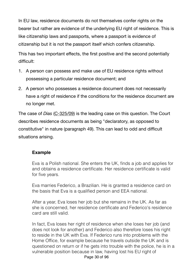In EU law, residence documents do not themselves confer rights on the bearer but rather are evidence of the underlying EU right of residence. This is like citizenship laws and passports, where a passport is evidence of citizenship but it is not the passport itself which confers citizenship.

This has two important effects, the first positive and the second potentially difficult:

- 1. A person can possess and make use of EU residence rights without possessing a particular residence document; and
- 2. A person who possesses a residence document does not necessarily have a right of residence if the conditions for the residence document are no longer met.

The case of *Dias* [\(C-325/09](http://eur-lex.europa.eu/LexUriServ/LexUriServ.do?uri=CELEX:62009CJ0325:EN:HTML)) is the leading case on this question. The Court describes residence documents as being "declaratory, as opposed to constitutive" in nature (paragraph 49). This can lead to odd and difficult situations arising.

### **Example**

Eva is a Polish national. She enters the UK, finds a job and applies for and obtains a residence certificate. Her residence certificate is valid for five years.

Eva marries Federico, a Brazilian. He is granted a residence card on the basis that Eva is a qualified person and EEA national.

After a year, Eva loses her job but she remains in the UK. As far as she is concerned, her residence certificate and Federico's residence card are still valid.

In fact, Eva loses her right of residence when she loses her job (and does not look for another) and Federico also therefore loses his right to reside in the UK with Eva. If Federico runs into problems with the Home Office, for example because he travels outside the UK and is questioned on return or if he gets into trouble with the police, he is in a vulnerable position because in law, having lost his EU right of Page 30 of 96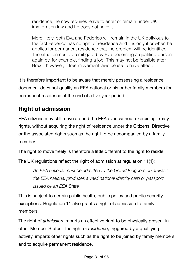residence, he now requires leave to enter or remain under UK immigration law and he does not have it.

More likely, both Eva and Federico will remain in the UK oblivious to the fact Federico has no right of residence and it is only if or when he applies for permanent residence that the problem will be identified. The situation could be mitigated by Eva becoming a qualified person again by, for example, finding a job. This may not be feasible after Brexit, however, if free movement laws cease to have effect.

It is therefore important to be aware that merely possessing a residence document does not qualify an EEA national or his or her family members for permanent residence at the end of a five year period.

# <span id="page-30-0"></span>**Right of admission**

EEA citizens may still move around the EEA even without exercising Treaty rights, without acquiring the right of residence under the Citizens' Directive or the associated rights such as the right to be accompanied by a family member.

The right to move freely is therefore a little different to the right to reside.

The UK regulations reflect the right of admission at regulation 11(1):

*An EEA national must be admitted to the United Kingdom on arrival if the EEA national produces a valid national identity card or passport issued by an EEA State.*

This is subject to certain public health, public policy and public security exceptions. Regulation 11 also grants a right of admission to family members.

The right of *admission* imparts an effective right to be physically present in other Member States. The right of *residence*, triggered by a qualifying activity, imparts other rights such as the right to be joined by family members and to acquire permanent residence.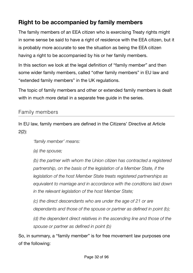## <span id="page-31-0"></span>**Right to be accompanied by family members**

The family members of an EEA citizen who is exercising Treaty rights might in some sense be said to have a right of residence with the EEA citizen, but it is probably more accurate to see the situation as being the EEA citizen having a right to be accompanied by his or her family members.

In this section we look at the legal definition of "family member" and then some wider family members, called "other family members" in EU law and "extended family members" in the UK regulations.

The topic of family members and other or extended family members is dealt with in much more detail in a separate free quide in the series.

### <span id="page-31-1"></span>Family members

In EU law, family members are defined in the Citizens' Directive at Article  $2(2)$ :

*'family member' means:* 

*(a) the spouse;* 

*(b) the partner with whom the Union citizen has contracted a registered partnership, on the basis of the legislation of a Member State, if the legislation of the host Member State treats registered partnerships as equivalent to marriage and in accordance with the conditions laid down in the relevant legislation of the host Member State;* 

*(c) the direct descendants who are under the age of 21 or are dependants and those of the spouse or partner as defined in point (b);* 

*(d) the dependent direct relatives in the ascending line and those of the spouse or partner as defined in point (b)*

So, in summary, a "family member" is for free movement law purposes one of the following: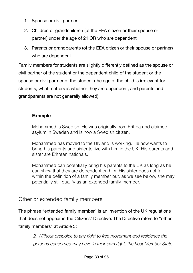- 1. Spouse or civil partner
- 2. Children or grandchildren (of the EEA citizen or their spouse or partner) under the age of 21 OR who are dependent
- 3. Parents or grandparents (of the EEA citizen or their spouse or partner) who are dependent

Family members for students are slightly differently defined as the spouse or civil partner of the student or the dependent child of the student or the spouse or civil partner of the student (the age of the child is irrelevant for students, what matters is whether they are dependent, and parents and grandparents are not generally allowed).

#### **Example**

Mohammed is Swedish. He was originally from Eritrea and claimed asylum in Sweden and is now a Swedish citizen.

Mohammed has moved to the UK and is working. He now wants to bring his parents and sister to live with him in the UK. His parents and sister are Eritrean nationals.

Mohammed can potentially bring his parents to the UK as long as he can show that they are dependent on him. His sister does not fall within the definition of a family member but, as we see below, she may potentially still qualify as an extended family member.

### <span id="page-32-0"></span>Other or extended family members

The phrase "extended family member" is an invention of the UK regulations that does not appear in the Citizens' Directive. The Directive refers to "other family members" at Article 3:

*2. Without prejudice to any right to free movement and residence the persons concerned may have in their own right, the host Member State*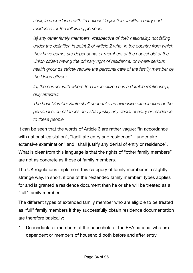*shall, in accordance with its national legislation, facilitate entry and residence for the following persons:* 

*(a) any other family members, irrespective of their nationality, not falling under the definition in point 2 of Article 2 who, in the country from which they have come, are dependants or members of the household of the Union citizen having the primary right of residence, or where serious health grounds strictly require the personal care of the family member by the Union citizen;* 

*(b) the partner with whom the Union citizen has a durable relationship, duly attested.* 

*The host Member State shall undertake an extensive examination of the personal circumstances and shall justify any denial of entry or residence to these people.*

It can be seen that the words of Article 3 are rather vague: "in accordance with national legislation", "facilitate entry and residence", "undertake extensive examination" and "shall justify any denial of entry or residence". What is clear from this language is that the rights of "other family members" are not as concrete as those of family members.

The UK regulations implement this category of family member in a slightly strange way. In short, if one of the "extended family member" types applies for and is granted a residence document then he or she will be treated as a "full" family member.

The different types of extended family member who are eligible to be treated as "full" family members if they successfully obtain residence documentation are therefore basically:

1. Dependants or members of the household of the EEA national who are dependent or members of household both before and after entry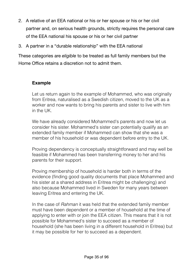- 2. A relative of an EEA national or his or her spouse or his or her civil partner and, on serious health grounds, strictly requires the personal care of the EEA national his spouse or his or her civil partner
- 3. A partner in a "durable relationship" with the EEA national

These categories are *eligible* to be treated as full family members but the Home Office retains a discretion not to admit them.

### **Example**

Let us return again to the example of Mohammed, who was originally from Eritrea, naturalised as a Swedish citizen, moved to the UK as a worker and now wants to bring his parents and sister to live with him in the UK.

We have already considered Mohammed's parents and now let us consider his sister. Mohammed's sister can potentially qualify as an extended family member if Mohammed can show that she was a member of his household or was dependent before entry to the UK.

Proving dependency is conceptually straightforward and may well be feasible if Mohammed has been transferring money to her and his parents for their support.

Proving membership of household is harder both in terms of the evidence (finding good quality documents that place Mohammed and his sister at a shared address in Eritrea might be challenging) and also because Mohammed lived in Sweden for many years between leaving Eritrea and entering the UK.

In the case of *Rahman* it was held that the extended family member must have been dependent or a member of household at the time of applying to enter with or join the EEA citizen. This means that it is not possible for Mohammed's sister to succeed as a member of household (she has been living in a different household in Eritrea) but it may be possible for her to succeed as a dependent.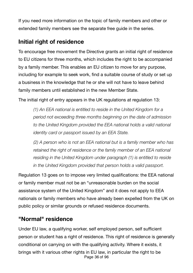If you need more information on the topic of family members and other or extended family members see the separate free guide in the series.

## <span id="page-35-0"></span>**Initial right of residence**

To encourage free movement the Directive grants an initial right of residence to EU citizens for three months, which includes the right to be accompanied by a family member. This enables an EU citizen to move for any purpose, including for example to seek work, find a suitable course of study or set up a business in the knowledge that he or she will not have to leave behind family members until established in the new Member State.

The initial right of entry appears in the UK regulations at regulation 13:

*(1) An EEA national is entitled to reside in the United Kingdom for a period not exceeding three months beginning on the date of admission to the United Kingdom provided the EEA national holds a valid national identity card or passport issued by an EEA State.* 

*(2) A person who is not an EEA national but is a family member who has retained the right of residence or the family member of an EEA national residing in the United Kingdom under paragraph (1) is entitled to reside in the United Kingdom provided that person holds a valid passport.* 

Regulation 13 goes on to impose very limited qualifications: the EEA national or family member must not be an "unreasonable burden on the social assistance system of the United Kingdom" and it does not apply to EEA nationals or family members who have already been expelled from the UK on public policy or similar grounds or refused residence documents.

## <span id="page-35-1"></span>**"Normal" residence**

Under EU law, a qualifying worker, self employed person, self sufficient person or student has a right of residence. This right of residence is generally conditional on carrying on with the qualifying activity. Where it exists, it brings with it various other rights in EU law, in particular the right to be Page 36 of 96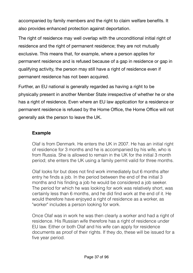accompanied by family members and the right to claim welfare benefits. It also provides enhanced protection against deportation.

The right of residence may well overlap with the unconditional initial right of residence and the right of permanent residence; they are not mutually exclusive. This means that, for example, where a person applies for permanent residence and is refused because of a gap in residence or gap in qualifying activity, the person may still have a right of residence even if permanent residence has not been acquired.

Further, an EU national is generally regarded as having a right to be physically present in another Member State irrespective of whether he or she has a right of residence. Even where an EU law application for a residence or permanent residence is refused by the Home Office, the Home Office will not generally ask the person to leave the UK.

#### **Example**

Olaf is from Denmark. He enters the UK in 2007. He has an initial right of residence for 3 months and he is accompanied by his wife, who is from Russia. She is allowed to remain in the UK for the initial 3 month period; she enters the UK using a family permit valid for three months.

Olaf looks for but does not find work immediately but 6 months after entry he finds a job. In the period between the end of the initial 3 months and his finding a job he would be considered a job seeker. The period for which he was looking for work was relatively short, was certainly less than 6 months, and he did find work at the end of it. He would therefore have enjoyed a right of residence as a worker, as "worker" includes a person looking for work.

Once Olaf was in work he was then clearly a worker and had a right of residence. His Russian wife therefore has a right of residence under EU law. Either or both Olaf and his wife can apply for residence documents as proof of their rights. If they do, these will be issued for a five year period.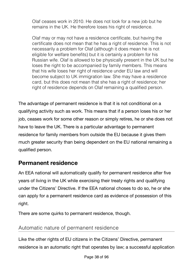Olaf ceases work in 2010. He does not look for a new job but he remains in the UK. He therefore loses his right of residence.

Olaf may or may not have a residence certificate, but having the certificate does not mean that he has a right of residence. This is not necessarily a problem for Olaf (although it does mean he is not eligible for welfare benefits) but it is certainly a problem for his Russian wife. Olaf is allowed to be physically present in the UK but he loses the right to be accompanied by family members. This means that his wife loses her right of residence under EU law and will become subject to UK immigration law. She may have a residence card, but this does not mean that she has a right of residence; her right of residence depends on Olaf remaining a qualified person.

The advantage of permanent residence is that it is not conditional on a qualifying activity such as work. This means that if a person loses his or her job, ceases work for some other reason or simply retires, he or she does not have to leave the UK. There is a particular advantage to permanent residence for family members from outside the EU because it gives them much greater security than being dependent on the EU national remaining a qualified person.

# **Permanent residence**

An EEA national will automatically qualify for permanent residence after five years of living in the UK while exercising their treaty rights and qualifying under the Citizens' Directive. If the EEA national choses to do so, he or she can apply for a permanent residence card as evidence of possession of this right.

There are some quirks to permanent residence, though.

## Automatic nature of permanent residence

Like the other rights of EU citizens in the Citizens' Directive, permanent residence is an automatic right that operates by law; a successful application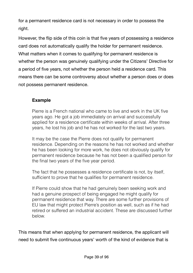for a permanent residence card is not necessary in order to possess the right.

However, the flip side of this coin is that five years of possessing a residence card does not automatically qualify the holder for permanent residence. What matters when it comes to qualifying for permanent residence is whether the person was genuinely qualifying under the Citizens' Directive for a period of five years, not whether the person held a residence card. This means there can be some controversy about whether a person does or does not possess permanent residence.

#### **Example**

Pierre is a French national who came to live and work in the UK five years ago. He got a job immediately on arrival and successfully applied for a residence certificate within weeks of arrival. After three years, he lost his job and he has not worked for the last two years.

It may be the case the Pierre does not qualify for permanent residence. Depending on the reasons he has not worked and whether he has been looking for more work, he does not obviously qualify for permanent residence because he has not been a qualified person for the final two years of the five year period.

The fact that he possesses a residence certificate is not, by itself, sufficient to prove that he qualifies for permanent residence.

If Pierre could show that he had genuinely been seeking work and had a genuine prospect of being engaged he might qualify for permanent residence that way. There are some further provisions of EU law that might protect Pierre's position as well, such as if he had retired or suffered an industrial accident. These are discussed further below.

This means that when applying for permanent residence, the applicant will need to submit five continuous years' worth of the kind of evidence that is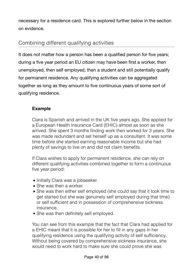necessary for a residence card. This is explored further below in the section on evidence.

## Combining different qualifying activities

It does not matter how a person has been a qualified person for five years; during a five year period an EU citizen may have been first a worker, then unemployed, then self employed, then a student and still potentially qualify for permanent residence. Any qualifying activities can be aggregated together as long as they amount to five continuous years of some sort of qualifying residence.

#### **Example**

Clara is Spanish and arrived in the UK five years ago. She applied for a European Health Insurance Card (EHIC) almost as soon as she arrived. She spent 3 months finding work then worked for 3 years. She was made redundant and set herself up as a consultant. It was some time before she started earning reasonable income but she had plenty of savings to live on and did not claim benefits.

If Clara wishes to apply for permanent residence, she can rely on different qualifying activities combined together to form a continuous five year period:

- Initially Clara was a jobseeker.
- She was then a worker.
- She was then either self employed (she could say that it took time to get started but she was genuinely self employed during that time) or self sufficient and in possession of comprehensive sickness insurance.
- She was then definitely self employed.

You can see from this example that the fact that Clara had applied for a EHIC meant that it is possible for her to fill in any gaps in her qualifying residence using the qualifying activity of self sufficiency. Without being covered by comprehensive sickness insurance, she would need to work hard to make sure she could prove she was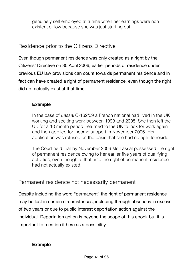genuinely self employed at a time when her earnings were non existent or low because she was just starting out.

### Residence prior to the Citizens Directive

Even though permanent residence was only created as a right by the Citizens' Directive on 30 April 2006, earlier periods of residence under previous EU law provisions can count towards permanent residence and in fact can have created a right of permanent residence, even though the right did not actually exist at that time.

#### **Example**

In the case of *Lassal* [C-162/09](http://www.bailii.org/eu/cases/EUECJ/2010/C16209.html) a French national had lived in the UK working and seeking work between 1999 and 2005. She then left the UK for a 10 month period, returned to the UK to look for work again and then applied for income support in November 2006. Her application was refused on the basis that she had no right to reside.

The Court held that by November 2006 Ms Lassal possessed the right of permanent residence owing to her earlier five years of qualifying activities, even though at that time the right of permanent residence had not actually existed.

### Permanent residence not necessarily permanent

Despite including the word "permanent" the right of permanent residence may be lost in certain circumstances, including through absences in excess of two years or due to public interest deportation action against the individual. Deportation action is beyond the scope of this ebook but it is important to mention it here as a possibility.

#### **Example**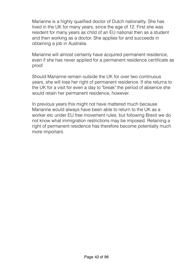Marianne is a highly qualified doctor of Dutch nationality. She has lived in the UK for many years, since the age of 12. First she was resident for many years as child of an EU national then as a student and then working as a doctor. She applies for and succeeds in obtaining a job in Australia.

Marianne will almost certainly have acquired permanent residence, even if she has never applied for a permanent residence certificate as proof.

Should Marianne remain outside the UK for over two continuous years, she will lose her right of permanent residence. If she returns to the UK for a visit for even a day to "break" the period of absence she would retain her permanent residence, however.

In previous years this might not have mattered much because Marianne would always have been able to return to the UK as a worker etc under EU free movement rules, but following Brexit we do not know what immigration restrictions may be imposed. Retaining a right of permanent residence has therefore become potentially much more important.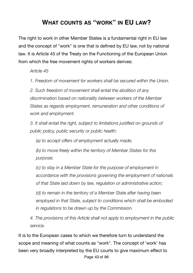# **WHAT COUNTS AS "WORK" IN EU LAW?**

The right to work in other Member States is a fundamental right in EU law and the concept of "work" is one that is defined by EU law, not by national law. It is Article 45 of the Treaty on the Functioning of the European Union from which the free movement rights of workers derives:

*Article 45* 

*1. Freedom of movement for workers shall be secured within the Union.* 

*2. Such freedom of movement shall entail the abolition of any discrimination based on nationality between workers of the Member States as regards employment, remuneration and other conditions of work and employment.* 

*3. It shall entail the right, subject to limitations justified on grounds of public policy, public security or public health:* 

*(a) to accept offers of employment actually made;* 

*(b) to move freely within the territory of Member States for this purpose;* 

*(c) to stay in a Member State for the purpose of employment in accordance with the provisions governing the employment of nationals of that State laid down by law, regulation or administrative action;* 

*(d) to remain in the territory of a Member State after having been employed in that State, subject to conditions which shall be embodied in regulations to be drawn up by the Commission.* 

*4. The provisions of this Article shall not apply to employment in the public service.*

It is to the European cases to which we therefore turn to understand the scope and meaning of what counts as "work". The concept of 'work' has been very broadly interpreted by the EU courts to give maximum effect to Page 43 of 96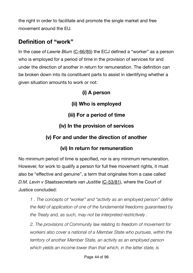the right in order to facilitate and promote the single market and free movement around the EU.

# **Definition of "work"**

In the case of *Lawrie Blum* [\(C-66/85](http://eur-lex.europa.eu/legal-content/EN/TXT/?uri=CELEX%3A61985CJ0066)) the ECJ defined a "worker" as a person who is employed for a period of time in the provision of services for and under the direction of another in return for remuneration. The definition can be broken down into its constituent parts to assist in identifying whether a given situation amounts to work or not:

## **(i) A person**

**(ii) Who is employed** 

**(iii) For a period of time** 

**(iv) In the provision of services** 

### **(v) For and under the direction of another**

## **(vi) In return for remuneration**

No minimum period of time is specified, nor is any minimum remuneration. However, for work to qualify a person for full free movement rights, it must also be "effective and genuine", a term that originates from a case called *D.M. Levin v Staatssecretaris van Justitie* [\(C-53/81\)](http://eur-lex.europa.eu/legal-content/EN/TXT/?uri=CELEX%3A61981CJ0053), where the Court of Justice concluded:

*1 . The concepts of "worker" and "activity as an employed person" define the field of application of one of the fundamental freedoms guaranteed by the Treaty and, as such, may not be interpreted restrictively .* 

*2. The provisions of Community law relating to freedom of movement for workers also cover a national of a Member State who pursues, within the territory of another Member State, an activity as an employed person which yields an income lower than that which, in the latter state, is*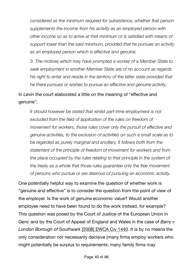*considered as the minimum required for subsistence, whether that person supplements the income from his activity as an employed person with other income so as to arrive at that minimum or is satisfied with means of support lower than the said minimum, provided that he pursues an activity as an employed person which is effective and genuine.*

*3. The motives which may have prompted a worker of a Member State to seek employment in another Member State are of no account as regards his right to enter and reside in the territory of the latter state provided that he there pursues or wishes to pursue an effective and genuine activity.*

In *Levin* the court elaborated a little on the meaning of "effective and genuine":

*It should however be stated that whilst part-time employment is not excluded from the field of application of the rules on freedom of movement for workers, those rules cover only the pursuit of effective and genuine activities, to the exclusion of activities on such a small scale as to be regarded as purely marginal and ancillary. It follows both from the statement of the principle of freedom of movement for workers and from the place occupied by the rules relating to that principle in the system of the treaty as a whole that those rules guarantee only the free movement of persons who pursue or are desirous of pursuing an economic activity.*

One potentially helpful way to examine the question of whether work is "genuine and effective" is to consider the question from the point of view of the employer. Is the work of genuine economic value? Would another employee need to have been found to do the work instead, for example? This question was posed by the Court of Justice of the European Union in *Genc* and by the Court of Appeal of England and Wales in the case of *Barry v London Borough of Southwark* [\[2008\] EWCA Civ 1440](http://www.bailii.org/ew/cases/EWCA/Civ/2008/1440.html). It is by no means the only consideration nor necessarily decisive (many firms employ workers who might potentially be surplus to requirements; many family firms may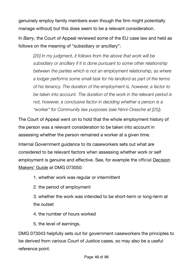genuinely employ family members even though the firm might potentially manage without) but this does seem to be a relevant consideration.

In *Barry*, the Court of Appeal reviewed some of the EU case law and held as follows on the meaning of "subsidiary or ancillary":

*[20] In my judgment, it follows from the above that work will be subsidiary or ancillary if it is done pursuant to some other relationship between the parties which is not an employment relationship, as where a lodger performs some small task for his landlord as part of the terms of his tenancy. The duration of the employment is, however, a factor to be taken into account. The duration of the work in the relevant period is not, however, a conclusive factor in deciding whether a person is a "worker" for Community law purposes (see Ninni-Orasche at [25]).* 

The Court of Appeal went on to hold that the whole employment history of the person was a relevant consideration to be taken into account in assessing whether the person remained a worker at a given time.

Internal Government guidance to its caseworkers sets out what are considered to be relevant factors when assessing whether work or self employment is genuine and effective. See, for example the official [Decision](https://www.gov.uk/government/collections/decision-makers-guide-staff-guide)  [Makers' Guide](https://www.gov.uk/government/collections/decision-makers-guide-staff-guide) at DMG 073050:

1. whether work was regular or intermittent

2. the period of employment

3. whether the work was intended to be short-term or long-term at the outset

- 4. the number of hours worked
- 5. the level of earnings.

DMG 073043 helpfully sets out for government caseworkers the principles to be derived from various Court of Justice cases, so may also be a useful reference point.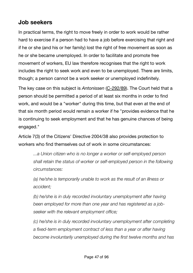# **Job seekers**

In practical terms, the right to move freely in order to work would be rather hard to exercise if a person had to have a job before exercising that right and if he or she (and his or her family) lost the right of free movement as soon as he or she became unemployed. In order to facilitate and promote free movement of workers, EU law therefore recognises that the right to work includes the right to seek work and even to be unemployed. There are limits, though; a person cannot be a work seeker or unemployed indefinitely.

The key case on this subject is *Antonissen* [\(C-292/89](http://eur-lex.europa.eu/legal-content/EN/TXT/?uri=CELEX%3A61989CJ0292)). The Court held that a person should be permitted a period of at least six months in order to find work, and would be a "worker" during this time, but that even at the end of that six month period would remain a worker if he "provides evidence that he is continuing to seek employment and that he has genuine chances of being engaged."

Article 7(3) of the Citizens' Directive 2004/38 also provides protection to workers who find themselves out of work in some circumstances:

> *...a Union citizen who is no longer a worker or self-employed person shall retain the status of worker or self-employed person in the following circumstances:*

*(a) he/she is temporarily unable to work as the result of an illness or accident;* 

*(b) he/she is in duly recorded involuntary unemployment after having been employed for more than one year and has registered as a jobseeker with the relevant employment office;* 

*(c) he/she is in duly recorded involuntary unemployment after completing a fixed-term employment contract of less than a year or after having become involuntarily unemployed during the first twelve months and has*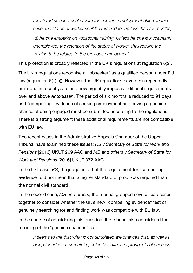*registered as a job-seeker with the relevant employment office. In this case, the status of worker shall be retained for no less than six months; (d) he/she embarks on vocational training. Unless he/she is involuntarily unemployed, the retention of the status of worker shall require the training to be related to the previous employment.*

This protection is broadly reflected in the UK's regulations at regulation 6(2).

The UK's regulations recognise a "jobseeker" as a qualified person under EU law (regulation 6(1)(a)). However, the UK regulations have been repeatedly amended in recent years and now arguably impose additional requirements over and above *Antonissen*. The period of six months is reduced to 91 days and "compelling" evidence of seeking employment and having a genuine chance of being engaged must be submitted according to the regulations. There is a strong argument these additional requirements are not compatible with FU law.

Two recent cases in the Administrative Appeals Chamber of the Upper Tribunal have examined these issues: *KS v Secretary of State for Work and Pensions* [\[2016\] UKUT 269 AAC](http://administrativeappeals.decisions.tribunals.gov.uk/Aspx/view.aspx?id=4880) and *MB and others v Secretary of State for Work and Pensions* [\[2016\] UKUT 372 AAC](http://administrativeappeals.decisions.tribunals.gov.uk/Aspx/view.aspx?id=4931).

In the first case, *KS*, the judge held that the requirement for "compelling evidence" did not mean that a higher standard of proof was required than the normal civil standard.

In the second case, *MB and others*, the tribunal grouped several lead cases together to consider whether the UK's new "compelling evidence" test of genuinely searching for and finding work was compatible with EU law.

In the course of considering this question, the tribunal also considered the meaning of the "genuine chances" test:

*It seems to me that what is contemplated are chances that, as well as being founded on something objective, offer real prospects of success*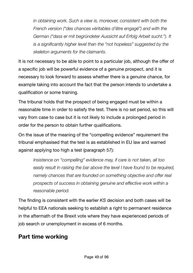*in obtaining work. Such a view is, moreover, consistent with both the French version ("des chances véritables d'être engagé") and with the German ("dass er mit begründeter Aussicht auf Erfolg Arbeit sucht."). It is a significantly higher level than the "not hopeless" suggested by the skeleton arguments for the claimants.* 

It is not necessary to be able to point to a particular job, although the offer of a specific job will be powerful evidence of a genuine prospect, and it is necessary to look forward to assess whether there is a genuine chance, for example taking into account the fact that the person intends to undertake a qualification or some training.

The tribunal holds that the prospect of being engaged must be within a reasonable time in order to satisfy the test. There is no set period, so this will vary from case to case but it is not likely to include a prolonged period in order for the person to obtain further qualifications.

On the issue of the meaning of the "compelling evidence" requirement the tribunal emphasised that the test is as established in EU law and warned against applying too high a test (paragraph 57):

*Insistence on "compelling" evidence may, if care is not taken, all too easily result in raising the bar above the level I have found to be required, namely chances that are founded on something objective and offer real prospects of success in obtaining genuine and effective work within a reasonable period.* 

The finding is consistent with the earlier *KS* decision and both cases will be helpful to EEA nationals seeking to establish a right to permanent residence in the aftermath of the Brexit vote where they have experienced periods of job search or unemployment in excess of 6 months.

## **Part time working**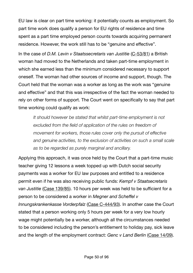EU law is clear on part time working: it potentially counts as employment. So part time work does qualify a person for EU rights of residence and time spent as a part time employed person counts towards acquiring permanent residence. However, the work still has to be "genuine and effective".

In the case of *D.M. Levin v Staatssecretaris van Justitie* [\(C-53/81](http://eur-lex.europa.eu/legal-content/EN/TXT/?uri=CELEX%3A61981CJ0053)) a British woman had moved to the Netherlands and taken part-time employment in which she earned less than the minimum considered necessary to support oneself. The woman had other sources of income and support, though. The Court held that the woman was a worker as long as the work was "genuine and effective" and that this was irrespective of the fact the woman needed to rely on other forms of support. The Court went on specifically to say that part time working could qualify as work:

*It should however be stated that whilst part-time employment is not excluded from the field of application of the rules on freedom of movement for workers, those rules cover only the pursuit of effective and genuine activities, to the exclusion of activities on such a small scale as to be regarded as purely marginal and ancillary.* 

Applying this approach, it was once held by the Court that a part-time music teacher giving 12 lessons a week topped up with Dutch social security payments was a worker for EU law purposes and entitled to a residence permit even if he was also receiving public funds: *Kempf v Staatsecretaris van Justitie* [\(Case 139/85](http://eur-lex.europa.eu/legal-content/EN/TXT/?uri=CELEX%3A61985CJ0139)). 10 hours per week was held to be sufficient for a person to be considered a worker in *Megner and Scheffel v Innungskrankenkasse Vorderpfalz* [\(Case C-444/93](http://curia.europa.eu/juris/showPdf.jsf?text=&docid=99435&doclang=EN)). In another case the Court stated that a person working only 5 hours per week for a very low hourly wage might potentially be a worker, although all the circumstances needed to be considered including the person's entitlement to holiday pay, sick leave and the length of the employment contract: *Genc v Land Berlin* [\(Case 14/09](http://eur-lex.europa.eu/legal-content/EN/TXT/?uri=CELEX%3A62009CJ0014)).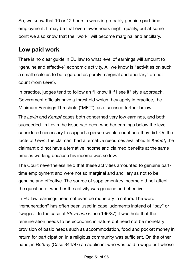So, we know that 10 or 12 hours a week is probably genuine part time employment. It may be that even fewer hours might qualify, but at some point we also know that the "work" will become marginal and ancillary.

# **Low paid work**

There is no clear guide in EU law to what level of earnings will amount to "genuine and effective" economic activity. All we know is "activities on such a small scale as to be regarded as purely marginal and ancillary" do not count (from *Levin*).

In practice, judges tend to follow an "I know it if I see it" style approach. Government officials have a threshold which they apply in practice, the Minimum Earnings Threshold ("MET"), as discussed further below.

The *Levin* and *Kempf* cases both concerned very low earnings, and both succeeded. In Levin the issue had been whether earnings below the level considered necessary to support a person would count and they did. On the facts of *Levin*, the claimant had alternative resources available. In *Kempf*, the claimant did not have alternative income and claimed benefits at the same time as working because his income was so low.

The Court nevertheless held that these activities amounted to genuine parttime employment and were not so marginal and ancillary as not to be genuine and effective. The source of supplementary income did not affect the question of whether the activity was genuine and effective.

In EU law, earnings need not even be monetary in nature. The word "remuneration" has often been used in case judgments instead of "pay" or "wages". In the case of *Steymann* ([Case 196/87](http://eur-lex.europa.eu/legal-content/EN/TXT/?uri=CELEX%3A61987CJ0196)) it was held that the remuneration needs to be economic in nature but need not be monetary; provision of basic needs such as accommodation, food and pocket money in return for participation in a religious community was sufficient. On the other hand, in *Bettray* [\(Case 344/87](http://eur-lex.europa.eu/legal-content/EN/ALL/?uri=CELEX%3A61987CJ0344)) an applicant who was paid a wage but whose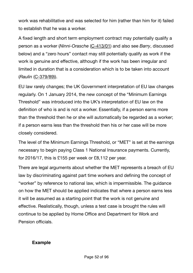work was rehabilitative and was selected for him (rather than him for it) failed to establish that he was a worker.

A fixed length and short term employment contract may potentially qualify a person as a worker (*Ninni-Orasche* [\(C-413/01](http://curia.europa.eu/juris/liste.jsf?language=en&num=C-413/01)) and also see *Barry*, discussed below) and a "zero hours" contact may still potentially qualify as work if the work is genuine and effective, although if the work has been irregular and limited in duration that is a consideration which is to be taken into account (*Raulin* [\(C-379/89\)](http://eur-lex.europa.eu/legal-content/EN/TXT/?uri=CELEX:61989CJ0357)).

EU law rarely changes; the UK Government interpretation of EU law changes regularly. On 1 January 2014, the new concept of the "Minimum Earnings Threshold" was introduced into the UK's interpretation of EU law on the definition of who is and is not a worker. Essentially, if a person earns more than the threshold then he or she will automatically be regarded as a worker; if a person earns less than the threshold then his or her case will be more closely considered.

The level of the Minimum Earnings Threshold, or "MET" is set at the earnings necessary to begin paying Class 1 National Insurance payments. Currently, for 2016/17, this is £155 per week or £8,112 per year.

There are legal arguments about whether the MET represents a breach of EU law by discriminating against part time workers and defining the concept of "worker" by reference to national law, which is impermissible. The guidance on how the MET should be applied indicates that where a person earns less it will be assumed as a starting point that the work is not genuine and effective. Realistically, though, unless a test case is brought the rules will continue to be applied by Home Office and Department for Work and Pension officials.

#### **Example**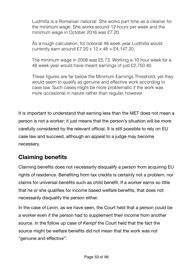Ludmilla is a Romanian national. She works part time as a cleaner for the minimum wage. She works around 12 hours per week and the minimum wage in October 2016 was £7.20.

As a rough calculation, for notional 48 week year Ludmilla would currently earn around £7.20  $\times$  12  $\times$  48 = £4,147.20.

The minimum wage in 2008 was £5.73. Working a 10 hour week for a 48 week year would have meant earnings of just £2,750.40.

These figures are far below the Minimum Earnings Threshold, yet they would seem to qualify as genuine and effective work according to case law. Such cases might be more problematic if the work was more occasional in nature rather than regular, however.

It is important to understand that earning less than the MET does not mean a person is not a worker; it just means that the person's situation will be more carefully considered by the relevant official. It is still possible to rely on EU case law and succeed, although an appeal to a judge may become necessary.

# **Claiming benefits**

Claiming benefits does not necessarily disqualify a person from acquiring EU rights of residence. Benefiting from tax credits is certainly not a problem, nor claims for universal benefits such as child benefit. If a worker earns so little that he or she qualifies for income based welfare benefits, that does not necessarily disqualify the person either.

In the case of *Levin*, as we have seen, the Court held that a person could be a worker even if the person had to supplement their income from another source. In the follow up case of *Kempf* the Court held that the fact the source might be welfare benefits did not mean that the work was not "genuine and effective":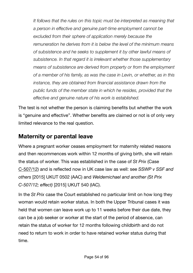*It follows that the rules on this topic must be interpreted as meaning that a person in effective and genuine part-time employment cannot be excluded from their sphere of application merely because the remuneration he derives from it is below the level of the minimum means of subsistence and he seeks to supplement it by other lawful means of subsistence. In that regard it is irrelevant whether those supplementary means of subsistence are derived from property or from the employment of a member of his family, as was the case in Levin, or whether, as in this instance, they are obtained from financial assistance drawn from the public funds of the member state in which he resides, provided that the effective and genuine nature of his work is established.* 

The test is not whether the person is claiming benefits but whether the work is "genuine and effective". Whether benefits are claimed or not is of only very limited relevance to the real question.

# **Maternity or parental leave**

Where a pregnant worker ceases employment for maternity related reasons and then recommences work within 12 months of giving birth, she will retain the status of worker. This was established in the case of *St Prix* (Case [C-507/12](http://curia.europa.eu/juris/document/document.jsf?docid=153814&doclang=en)) and is reflected now in UK case law as well: see *SSWP v SSF and others* [2015] UKUT 0502 (AAC) and *Weldemichael and another (St Prix C-507/12; effect)* [2015] UKUT 540 (IAC).

In the *St Prix* case the Court established no particular limit on how long they woman would retain worker status. In both the Upper Tribunal cases it was held that women can leave work up to 11 weeks before their due date, they can be a job seeker or worker at the start of the period of absence, can retain the status of worker for 12 months following childbirth and do not need to return to work in order to have retained worker status during that time.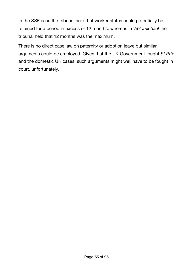In the *SSF* case the tribunal held that worker status could potentially be retained for a period in excess of 12 months, whereas in *Weldmichael* the tribunal held that 12 months was the maximum.

There is no direct case law on paternity or adoption leave but similar arguments could be employed. Given that the UK Government fought *St Prix* and the domestic UK cases, such arguments might well have to be fought in court, unfortunately.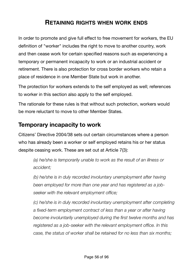## **RETAINING RIGHTS WHEN WORK ENDS**

In order to promote and give full effect to free movement for workers, the EU definition of "worker" includes the right to move to another country, work and then cease work for certain specified reasons such as experiencing a temporary or permanent incapacity to work or an industrial accident or retirement. There is also protection for cross border workers who retain a place of residence in one Member State but work in another.

The protection for workers extends to the self employed as well; references to worker in this section also apply to the self employed.

The rationale for these rules is that without such protection, workers would be more reluctant to move to other Member States.

## **Temporary incapacity to work**

Citizens' Directive 2004/38 sets out certain circumstances where a person who has already been a worker or self employed retains his or her status despite ceasing work. These are set out at Article 7(3):

*(a) he/she is temporarily unable to work as the result of an illness or accident;* 

*(b) he/she is in duly recorded involuntary unemployment after having been employed for more than one year and has registered as a jobseeker with the relevant employment office;* 

*(c) he/she is in duly recorded involuntary unemployment after completing a fixed-term employment contract of less than a year or after having become involuntarily unemployed during the first twelve months and has registered as a job-seeker with the relevant employment office. In this case, the status of worker shall be retained for no less than six months;*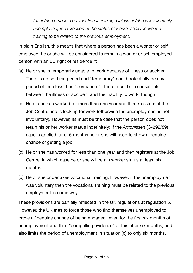*(d) he/she embarks on vocational training. Unless he/she is involuntarily unemployed, the retention of the status of worker shall require the training to be related to the previous employment.*

In plain English, this means that where a person has been a worker or self employed, he or she will be considered to remain a worker or self employed person with an EU right of residence if:

- (a) He or she is temporarily unable to work because of illness or accident. There is no set time period and "temporary" could potentially be any period of time less than "permanent". There must be a causal link between the illness or accident and the inability to work, though.
- (b) He or she has worked for more than one year and then registers at the Job Centre and is looking for work (otherwise the unemployment is not involuntary). However, its must be the case that the person does not retain his or her worker status indefinitely; if the *Antonissen* [\(C-292/89](http://eur-lex.europa.eu/legal-content/EN/TXT/?uri=CELEX%3A61989CJ0292)) case is applied, after 6 months he or she will need to show a genuine chance of getting a job.
- (c) He or she has worked for less than one year and then registers at the Job Centre, in which case he or she will retain worker status at least six months.
- (d) He or she undertakes vocational training. However, if the unemployment was voluntary then the vocational training must be related to the previous employment in some way.

These provisions are partially reflected in the UK regulations at regulation 5. However, the UK tries to force those who find themselves unemployed to prove a "genuine chance of being engaged" even for the first six months of unemployment and then "compelling evidence" of this after six months, and also limits the period of unemployment in situation (c) to only six months.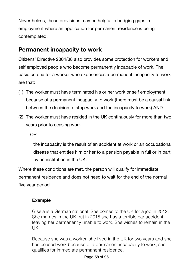Nevertheless, these provisions may be helpful in bridging gaps in employment where an application for permanent residence is being contemplated.

# **Permanent incapacity to work**

Citizens' Directive 2004/38 also provides some protection for workers and self employed people who become permanently incapable of work. The basic criteria for a worker who experiences a permanent incapacity to work are that:

- (1) The worker must have terminated his or her work or self employment because of a permanent incapacity to work (there must be a causal link between the decision to stop work and the incapacity to work) AND
- (2) The worker must have resided in the UK continuously for more than two years prior to ceasing work

OR

the incapacity is the result of an accident at work or an occupational disease that entitles him or her to a pension payable in full or in part by an institution in the UK.

Where these conditions are met, the person will qualify for immediate permanent residence and does not need to wait for the end of the normal five year period.

### **Example**

Gisela is a German national. She comes to the UK for a job in 2012. She marries in the UK but in 2015 she has a terrible car accident leaving her permanently unable to work. She wishes to remain in the UK.

Because she was a worker, she lived in the UK for two years and she has ceased work because of a permanent incapacity to work, she qualifies for immediate permanent residence.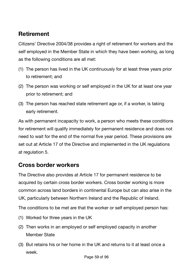# **Retirement**

Citizens' Directive 2004/38 provides a right of retirement for workers and the self employed in the Member State in which they have been working, as long as the following conditions are all met:

- (1) The person has lived in the UK continuously for at least three years prior to retirement; and
- (2) The person was working or self employed in the UK for at least one year prior to retirement; and
- (3) The person has reached state retirement age or, if a worker, is taking early retirement.

As with permanent incapacity to work, a person who meets these conditions for retirement will qualify immediately for permanent residence and does not need to wait for the end of the normal five year period. These provisions are set out at Article 17 of the Directive and implemented in the UK regulations at regulation 5.

## **Cross border workers**

The Directive also provides at Article 17 for permanent residence to be acquired by certain cross border workers. Cross border working is more common across land borders in continental Europe but can also arise in the UK, particularly between Northern Ireland and the Republic of Ireland.

The conditions to be met are that the worker or self employed person has:

- (1) Worked for three years in the UK
- (2) Then works in an employed or self employed capacity in another Member State
- (3) But retains his or her home in the UK and returns to it at least once a week.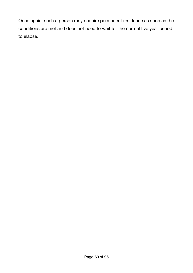Once again, such a person may acquire permanent residence as soon as the conditions are met and does not need to wait for the normal five year period to elapse.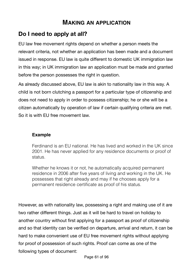## **MAKING AN APPLICATION**

# **Do I need to apply at all?**

EU law free movement rights depend on whether a person meets the relevant criteria, not whether an application has been made and a document issued in response. EU law is quite different to domestic UK immigration law in this way; in UK immigration law an application must be made and granted before the person possesses the right in question.

As already discussed above, EU law is akin to nationality law in this way. A child is not born clutching a passport for a particular type of citizenship and does not need to apply in order to possess citizenship; he or she will be a citizen automatically by operation of law if certain qualifying criteria are met. So it is with EU free movement law.

#### **Example**

Ferdinand is an EU national. He has lived and worked in the UK since 2001. He has never applied for any residence documents or proof of status.

Whether he knows it or not, he automatically acquired permanent residence in 2006 after five years of living and working in the UK. He possesses that right already and may if he chooses apply for a permanent residence certificate as proof of his status.

However, as with nationality law, possessing a right and making use of it are two rather different things. Just as it will be hard to travel on holiday to another country without first applying for a passport as proof of citizenship and so that identity can be verified on departure, arrival and return, it can be hard to make convenient use of EU free movement rights without applying for proof of possession of such rights. Proof can come as one of the following types of document: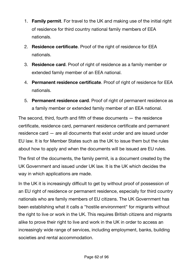- 1. **Family permit**. For travel to the UK and making use of the initial right of residence for third country national family members of EEA nationals.
- 2. **Residence certificate**. Proof of the right of residence for EEA nationals.
- 3. **Residence card**. Proof of right of residence as a family member or extended family member of an EEA national.
- 4. **Permanent residence certificate**. Proof of right of residence for EEA nationals.
- 5. **Permanent residence card**. Proof of right of permanent residence as a family member or extended family member of an EEA national.

The second, third, fourth and fifth of these documents  $-$  the residence certificate, residence card, permanent residence certificate and permanent residence card — are all documents that exist under and are issued under EU law. It is for Member States such as the UK to issue them but the rules about how to apply and when the documents will be issued are EU rules.

The first of the documents, the family permit, is a document created by the UK Government and issued under UK law. It is the UK which decides the way in which applications are made.

In the UK it is increasingly difficult to get by without proof of possession of an EU right of residence or permanent residence, especially for third country nationals who are family members of EU citizens. The UK Government has been establishing what it calls a "hostile environment" for migrants without the right to live or work in the UK. This requires British citizens and migrants alike to prove their right to live and work in the UK in order to access an increasingly wide range of services, including employment, banks, building societies and rental accommodation.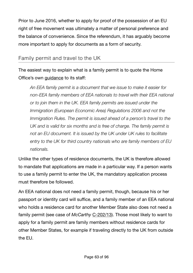Prior to June 2016, whether to apply for proof of the possession of an EU right of free movement was ultimately a matter of personal preference and the balance of convenience. Since the referendum, it has arguably become more important to apply for documents as a form of security.

### Family permit and travel to the UK

The easiest way to explain what is a family permit is to quote the Home Office's own [guidance](https://www.gov.uk/government/publications/eea-family-permits-eun02/eea-family-permit-eun02#eun214-can-family-members-of-british-citizens-qualify-for-an-eea-family-permit-surinder-singh-cases) to its staff:

*An EEA family permit is a document that we issue to make it easier for non-EEA family members of EEA nationals to travel with their EEA national or to join them in the UK. EEA family permits are issued under the Immigration (European Economic Area) Regulations 2006 and not the Immigration Rules. The permit is issued ahead of a person's travel to the UK and is valid for six months and is free of charge. The family permit is not an EU document. It is issued by the UK under UK rules to facilitate entry to the UK for third country nationals who are family members of EU nationals.* 

Unlike the other types of residence documents, the UK is therefore allowed to mandate that applications are made in a particular way. If a person wants to use a family permit to enter the UK, the mandatory application process must therefore be followed.

An EEA national does not need a family permit, though, because his or her passport or identity card will suffice, and a family member of an EEA national who holds a residence card for another Member State also does not need a family permit (see case of *McCarthy* [C-202/13](http://www.bailii.org/eu/cases/EUECJ/2014/C20213.html)). Those most likely to want to apply for a family permit are family members without residence cards for other Member States, for example if traveling directly to the UK from outside the EU.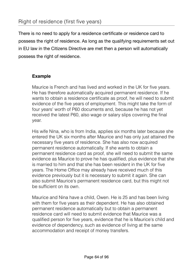There is no need to apply for a residence certificate or residence card to possess the right of residence. As long as the qualifying requirements set out in EU law in the Citizens Directive are met then a person will automatically possess the right of residence.

#### **Example**

Maurice is French and has lived and worked in the UK for five years. He has therefore automatically acquired permanent residence. If he wants to obtain a residence certificate as proof, he will need to submit evidence of the five years of employment. This might take the form of four years' worth of P60 documents and, because he has not yet received the latest P60, also wage or salary slips covering the final year.

His wife Nina, who is from India, applies six months later because she entered the UK six months after Maurice and has only just attained the necessary five years of residence. She has also now acquired permanent residence automatically. If she wants to obtain a permanent residence card as proof, she will need to submit the same evidence as Maurice to prove he has qualified, plus evidence that she is married to him and that she has been resident in the UK for five years. The Home Office may already have received much of this evidence previously but it is necessary to submit it again. She can also submit Maurice's permanent residence card, but this might not be sufficient on its own.

Maurice and Nina have a child, Owen. He is 25 and has been living with them for five years as their dependent. He has also obtained permanent residence automatically but to obtain a permanent residence card will need to submit evidence that Maurice was a qualified person for five years, evidence that he is Maurice's child and evidence of dependency, such as evidence of living at the same accommodation and receipt of money transfers.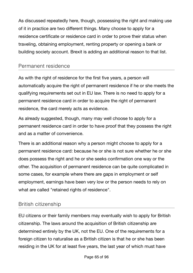As discussed repeatedly here, though, possessing the right and making use of it in practice are two different things. Many choose to apply for a residence certificate or residence card in order to prove their status when traveling, obtaining employment, renting property or opening a bank or building society account. Brexit is adding an additional reason to that list.

### Permanent residence

As with the right of residence for the first five years, a person will automatically acquire the right of permanent residence if he or she meets the qualifying requirements set out in EU law. There is no need to apply for a permanent residence card in order to acquire the right of permanent residence, the card merely acts as evidence.

As already suggested, though, many may well choose to apply for a permanent residence card in order to have proof that they possess the right and as a matter of convenience.

There is an additional reason why a person might choose to apply for a permanent residence card: because he or she is not sure whether he or she does possess the right and he or she seeks confirmation one way or the other. The acquisition of permanent residence can be quite complicated in some cases, for example where there are gaps in employment or self employment, earnings have been very low or the person needs to rely on what are called "retained rights of residence".

### British citizenship

EU citizens or their family members may eventually wish to apply for British citizenship. The laws around the acquisition of British citizenship are determined entirely by the UK, not the EU. One of the requirements for a foreign citizen to naturalise as a British citizen is that he or she has been residing in the UK for at least five years, the last year of which must have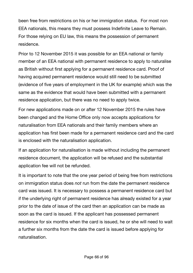been free from restrictions on his or her immigration status. For most non EEA nationals, this means they must possess Indefinite Leave to Remain. For those relying on EU law, this means the possession of permanent residence.

Prior to 12 November 2015 it was possible for an EEA national or family member of an EEA national with permanent residence to apply to naturalise as British without first applying for a permanent residence card. Proof of having acquired permanent residence would still need to be submitted (evidence of five years of employment in the UK for example) which was the same as the evidence that would have been submitted with a permanent residence application, but there was no need to apply twice.

For new applications made on or after 12 November 2015 the rules have been changed and the Home Office only now accepts applications for naturalisation from EEA nationals and their family members where an application has first been made for a permanent residence card and the card is enclosed with the naturalisation application.

If an application for naturalisation is made without including the permanent residence document, the application will be refused and the substantial application fee will not be refunded.

It is important to note that the one year period of being free from restrictions on immigration status does *not* run from the date the permanent residence card was issued. It is necessary to possess a permanent residence card but if the underlying right of permanent residence has already existed for a year prior to the date of issue of the card then an application can be made as soon as the card is issued. If the applicant has possessed permanent residence for six months when the card is issued, he or she will need to wait a further six months from the date the card is issued before applying for naturalisation.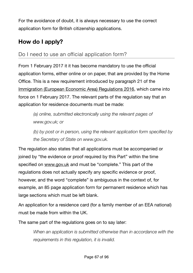For the avoidance of doubt, it is always necessary to use the correct application form for British citizenship applications.

# **How do I apply?**

## Do I need to use an official application form?

From 1 February 2017 it it has become mandatory to use the official application forms, either online or on paper, that are provided by the Home Office. This is a new requirement introduced by paragraph 21 of the [Immigration \(European Economic Area\) Regulations 2016,](http://www.legislation.gov.uk/uksi/2016/1052/made) which came into force on 1 February 2017. The relevant parts of the regulation say that an application for residence documents must be made:

*(a) online, submitted electronically using the relevant pages of www.gov.uk; or* 

*(b) by post or in person, using the relevant application form specified by the Secretary of State on www.gov.uk.*

The regulation also states that all applications must be accompanied or joined by "the evidence or proof required by this Part" within the time specified on [www.gov.uk](http://www.gov.uk) and must be "complete." This part of the regulations does not actually specify any specific evidence or proof, however, and the word "complete" is ambiguous in the context of, for example, an 85 page application form for permanent residence which has large sections which must be left blank.

An application for a residence card (for a family member of an EEA national) must be made from within the UK.

The same part of the regulations goes on to say later:

*When an application is submitted otherwise than in accordance with the requirements in this regulation, it is invalid.*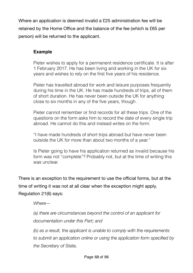Where an application is deemed invalid a £25 administration fee will be retained by the Home Office and the balance of the fee (which is £65 per person) will be returned to the applicant.

#### **Example**

Pieter wishes to apply for a permanent residence certificate. It is after 1 February 2017. He has been living and working in the UK for six years and wishes to rely on the first five years of his residence.

Pieter has travelled abroad for work and leisure purposes frequently during his time in the UK. He has made hundreds of trips, all of them of short duration. He has never been outside the UK for anything close to six months in any of the five years, though.

Pieter cannot remember or find records for all these trips. One of the questions on the form asks him to record the date of every single trip abroad. He cannot do this and instead writes on the form:

"I have made hundreds of short trips abroad but have never been outside the UK for more than about two months of a year."

Is Pieter going to have his application returned as invalid because his form was not "complete"? Probably not, but at the time of writing this was unclear.

There is an exception to the requirement to use the official forms, but at the time of writing it was not at all clear when the exception might apply. Regulation 21(6) says:

*Where—* 

*(a) there are circumstances beyond the control of an applicant for documentation under this Part; and* 

*(b) as a result, the applicant is unable to comply with the requirements to submit an application online or using the application form specified by the Secretary of State,*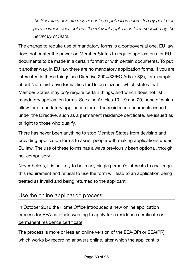*the Secretary of State may accept an application submitted by post or in person which does not use the relevant application form specified by the Secretary of State.*

The change to require use of mandatory forms is a controversial one. EU law does not confer the power on Member States to require applications for EU documents to be made in a certain format or with certain documents. To put it another way, in EU law there are no mandatory application forms. If you are interested in these things see [Directive 2004/38/EC](http://eur-lex.europa.eu/LexUriServ/LexUriServ.do?uri=OJ:L:2004:158:0077:0123:en:PDF) Article 8(3), for example, about "administrative formalities for Union citizens" which states that Member States may *only* require certain things, and which does not list mandatory application forms. See also Articles 10, 19 and 20, none of which allow for a mandatory application form. The residence documents issued under the Directive, such as a permanent residence certificate, are issued as of right to those who qualify.

There has never been anything to stop Member States from devising and providing application forms to assist people with making applications under EU law. The use of these forms has always previously been optional, though, not compulsory.

Nevertheless, it is unlikely to be in any single person's interests to challenge this requirement and refusal to use the form will lead to an application being treated as invalid and being returned to the applicant.

### Use the online application process

In October 2016 the Home Office introduced a new online application process for EEA nationals wanting to apply for a [residence certificate](https://visas-immigration.service.gov.uk/product/eea-qp) or [permanent residence certificate](https://visas-immigration.service.gov.uk/product/eea-pr).

The process is more or less an online version of the EEA(QP) or EEA(PR) which works by recording answers online, after which the applicant is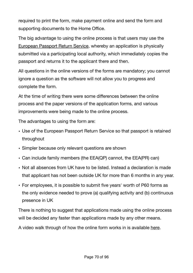required to print the form, make payment online and send the form and supporting documents to the Home Office.

The big advantage to using the online process is that users may use the [European Passport Return Service,](https://www.gov.uk/government/collections/european-passport-return-service) whereby an application is physically submitted via a participating local authority, which immediately copies the passport and returns it to the applicant there and then.

All questions in the online versions of the forms are mandatory; you cannot ignore a question as the software will not allow you to progress and complete the form.

At the time of writing there were some differences between the online process and the paper versions of the application forms, and various improvements were being made to the online process.

The advantages to using the form are:

- Use of the European Passport Return Service so that passport is retained throughout
- Simpler because only relevant questions are shown
- Can include family members (the EEA(QP) cannot, the EEA(PR) can)
- Not all absences from UK have to be listed. Instead a declaration is made that applicant has not been outside UK for more than 6 months in any year.
- For employees, it is possible to submit five years' worth of P60 forms as the only evidence needed to prove (a) qualifying activity and (b) continuous presence in UK

There is nothing to suggest that applications made using the online process will be decided any faster than applications made by any other means.

A video walk through of how the online form works in is available [here](https://www.freemovement.org.uk/online-eea-permanent-residence-european-passport-return-service-now-available/).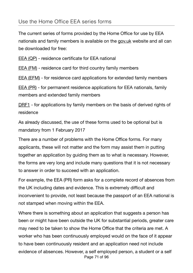The current series of forms provided by the Home Office for use by EEA nationals and family members is available on the [gov.uk](https://www.gov.uk/government/collections/uk-visa-forms#application-forms-for-citizens-of-the-european-economic-area) website and all can be downloaded for free:

[EEA \(QP\)](https://www.gov.uk/government/publications/apply-for-a-registration-certificate-as-a-qualified-person-form-eea-qp) - residence certificate for EEA national

[EEA \(FM\)](https://www.gov.uk/government/publications/apply-for-a-registration-certificate-or-residence-card-for-a-family-member-form-eea-fm) - residence card for third country family members

[EEA \(EFM\)](https://www.gov.uk/government/publications/apply-for-a-registration-certificate-or-residence-card-for-an-extended-family-member-form-eea-efm) - for residence card applications for extended family members

[EEA \(PR\)](https://www.gov.uk/government/publications/apply-for-a-document-certifying-permanent-residence-or-permanent-residence-card-form-eea-pr) - for permanent residence applications for EEA nationals, family members and extended family members

[DRF1](https://www.gov.uk/government/publications/application-for-derivative-residence-card-in-uk-form-drf1) - for applications by family members on the basis of derived rights of residence

As already discussed, the use of these forms used to be optional but is mandatory from 1 February 2017

There are a number of problems with the Home Office forms. For many applicants, these will not matter and the form may assist them in putting together an application by guiding them as to what is necessary. However, the forms are very long and include many questions that it is not necessary to answer in order to succeed with an application.

For example, the EEA (PR) form asks for a complete record of absences from the UK including dates and evidence. This is extremely difficult and inconvenient to provide, not least because the passport of an EEA national is not stamped when moving within the EEA.

Where there is something about an application that suggests a person has been or might have been outside the UK for substantial periods, greater care may need to be taken to show the Home Office that the criteria are met. A worker who has been continuously employed would on the face of it appear to have been continuously resident and an application need not include evidence of absences. However, a self employed person, a student or a self Page 71 of 96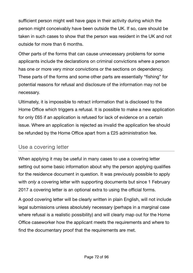sufficient person might well have gaps in their activity during which the person might conceivably have been outside the UK. If so, care should be taken in such cases to show that the person was resident in the UK and not outside for more than 6 months.

Other parts of the forms that can cause unnecessary problems for some applicants include the declarations on criminal convictions where a person has one or more very minor convictions or the sections on dependency. These parts of the forms and some other parts are essentially "fishing" for potential reasons for refusal and disclosure of the information may not be necessary.

Ultimately, it is impossible to retract information that is disclosed to the Home Office which triggers a refusal. It is possible to make a new application for only £65 if an application is refused for lack of evidence on a certain issue. Where an application is rejected as invalid the application fee should be refunded by the Home Office apart from a £25 administration fee.

### Use a covering letter

When applying it may be useful in many cases to use a covering letter setting out some basic information about why the person applying qualifies for the residence document in question. It was previously possible to apply with *only* a covering letter with supporting documents but since 1 February 2017 a covering letter is an optional extra to using the official forms.

A good covering letter will be clearly written in plain English, will not include legal submissions unless absolutely necessary (perhaps in a marginal case where refusal is a realistic possibility) and will clearly map out for the Home Office caseworker how the applicant meets the requirements and where to find the documentary proof that the requirements are met.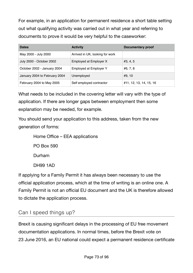For example, in an application for permanent residence a short table setting out what qualifying activity was carried out in what year and referring to documents to prove it would be very helpful to the caseworker:

| <b>Dates</b>                  | <b>Activity</b>                 | <b>Documentary proof</b> |
|-------------------------------|---------------------------------|--------------------------|
| May 2000 - July 2000          | Arrived in UK, looking for work |                          |
| July 2000 - October 2002      | Employed at Employer X          | #3, 4, 5                 |
| October 2002 - January 2004   | <b>Employed at Employer Y</b>   | #6, 7, 8                 |
| January 2004 to February 2004 | Unemployed                      | #9, 10                   |
| February 2004 to May 2005     | Self employed contractor        | #11, 12, 13, 14, 15, 16  |

What needs to be included in the covering letter will vary with the type of application. If there are longer gaps between employment then some explanation may be needed, for example.

You should send your application to this address, taken from the new generation of forms:

> Home Office – EEA applications PO Box 590 Durham DH99 1AD

If applying for a Family Permit it has always been necessary to use the official application process, which at the time of writing is an online one. A Family Permit is not an official EU document and the UK is therefore allowed to dictate the application process.

### Can I speed things up?

Brexit is causing significant delays in the processing of EU free movement documentation applications. In normal times, before the Brexit vote on 23 June 2016, an EU national could expect a permanent residence certificate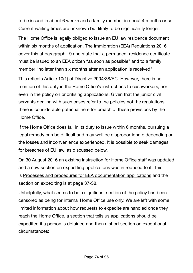to be issued in about 6 weeks and a family member in about 4 months or so. Current waiting times are unknown but likely to be significantly longer.

The Home Office is legally obliged to issue an EU law residence document within six months of application. The Immigration (EEA) Regulations 2016 cover this at paragraph 19 and state that a permanent residence certificate must be issued to an EEA citizen "as soon as possible" and to a family member "no later than six months after an application is received".

This reflects Article 10(1) of Directive [2004/38/EC](http://eur-lex.europa.eu/LexUriServ/LexUriServ.do?uri=OJ:L:2004:158:0077:0123:en:PDF). However, there is no mention of this duty in the Home Office's instructions to caseworkers, nor even in the policy on prioritising applications. Given that the junior civil servants dealing with such cases refer to the policies not the regulations, there is considerable potential here for breach of these provisions by the Home Office.

If the Home Office does fail in its duty to issue within 6 months, pursuing a legal remedy can be difficult and may well be disproportionate depending on the losses and inconvenience experienced. It is possible to seek damages for breaches of EU law, as discussed below.

On 30 August 2016 an existing instruction for Home Office staff was updated and a new section on expediting applications was introduced to it. This is [Processes and procedures for EEA documentation applications](https://www.gov.uk/government/publications/processes-and-procedures-for-eea-documentation-applications) and the section on expediting is at page 37-38.

Unhelpfully, what seems to be a significant section of the policy has been censored as being for internal Home Office use only. We are left with some limited information about how requests to expedite are handled once they reach the Home Office, a section that tells us applications should be expedited if a person is detained and then a short section on exceptional circumstances: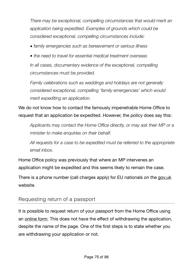*There may be exceptional, compelling circumstances that would merit an application being expedited. Examples of grounds which could be considered exceptional, compelling circumstances include:* 

*• family emergencies such as bereavement or serious illness* 

*• the need to travel for essential medical treatment overseas In all cases, documentary evidence of the exceptional, compelling circumstances must be provided.* 

*Family celebrations such as weddings and holidays are not generally considered exceptional, compelling 'family emergencies' which would merit expediting an application.* 

We do not know how to contact the famously impenetrable Home Office to request that an application be expedited. However, the policy does say this:

*Applicants may contact the Home Office directly, or may ask their MP or a minister to make enquiries on their behalf.* 

*All requests for a case to be expedited must be referred to the appropriate email inbox.* 

Home Office policy was previously that where an MP intervenes an application might be expedited and this seems likely to remain the case.

There is a phone number (call charges apply) for EU nationals on the [gov.uk](https://www.gov.uk/contact-ukvi/european-nationals) website.

### Requesting return of a passport

It is possible to request return of your passport from the Home Office using an [online form](https://eforms.homeoffice.gov.uk/outreach/Return_of_Documents.ofml). This does not have the effect of withdrawing the application, despite the name of the page. One of the first steps is to state whether you are withdrawing your application or not.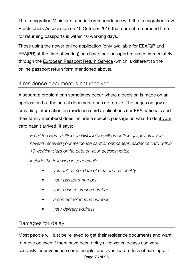The Immigration Minister stated in correspondence with the Immigration Law Practitioners Association on 10 October 2016 that current turnaround time for returning passports is within 10 working days.

Those using the newer online application (only available for EEA(QP and EEA(PR) at the time of writing) can have their passport returned immediately through the [European Passport Return Service](https://www.gov.uk/government/collections/european-passport-return-service) (which is different to the online passport return form mentioned above).

## If residence document is not received

A separate problem can sometimes occur where a decision is made on an application but the actual document does not arrive. The pages on gov.uk providing information on residence card applications (for EEA nationals and their family members) does include a specific passage on what to do [if your](https://www.gov.uk/apply-for-a-uk-residence-card/card-hasnt-arrived)  [card hasn't arrived](https://www.gov.uk/apply-for-a-uk-residence-card/card-hasnt-arrived). It says:

*Email the Home Office on [BRCDelivery@homeoffice.gsi.gov.uk](mailto:BRCDelivery@homeoffice.gsi.gov.uk) if you haven't received your residence card or permanent residence card within 10 working days of the date on your decision letter.* 

*Include the following in your email:* 

- *• your full name, date of birth and nationality*
- *• your passport number*
- *• your case reference number*
- *• a contact telephone number*
- *• your delivery address*

### Damages for delay

Most people will just be relieved to get their residence documents and want to move on even if there have been delays. However, delays can very seriously inconvenience some people, and even lead to loss of earnings. If Page 76 of 96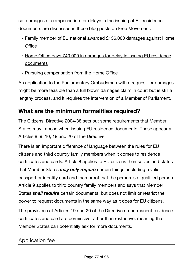so, damages or compensation for delays in the issuing of EU residence documents are discussed in these blog posts on Free Movement:

- [Family member of EU national awarded £136,000 damages against Home](https://www.freemovement.org.uk/family-member-of-eu-national-awarded-136000-damages-against-home-office/)  **Offi[ce](https://www.freemovement.org.uk/family-member-of-eu-national-awarded-136000-damages-against-home-office/)**
- Home Offi[ce pays £40,000 in damages for delay in issuing EU residence](https://www.freemovement.org.uk/home-office-pays-40000-in-damages-for-delay-in-issuing-eu-residence-documents/)  [documents](https://www.freemovement.org.uk/home-office-pays-40000-in-damages-for-delay-in-issuing-eu-residence-documents/)
- [Pursuing compensation from the Home O](https://www.freemovement.org.uk/pursuing-compensation-from-the-home-office/)ffice

An application to the Parliamentary Ombudsman with a request for damages might be more feasible than a full blown damages claim in court but is still a lengthy process, and it requires the intervention of a Member of Parliament.

# **What are the minimum formalities required?**

The Citizens' Directive 2004/38 sets out some requirements that Member States may impose when issuing EU residence documents. These appear at Articles 8, 9, 10, 19 and 20 of the Directive.

There is an important difference of language between the rules for EU citizens and third country family members when it comes to residence certificates and cards. Article 8 applies to EU citizens themselves and states that Member States *may only require* certain things, including a valid passport or identity card and then proof that the person is a qualified person. Article 9 applies to third country family members and says that Member States *shall require* certain documents, but does not limit or restrict the power to request documents in the same way as it does for EU citizens.

The provisions at Articles 19 and 20 of the Directive on permanent residence certificates and card are permissive rather than restrictive, meaning that Member States can potentially ask for more documents.

### Application fee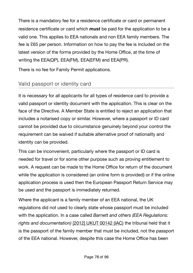There is a mandatory fee for a residence certificate or card or permanent residence certificate or card which *must* be paid for the application to be a valid one. This applies to EEA nationals and non EEA family members. The fee is £65 per person. Information on how to pay the fee is included on the latest version of the forms provided by the Home Office, at the time of writing the EEA(QP), EEA(FM), EEA(EFM) and EEA(PR).

There is no fee for Family Permit applications.

## Valid passport or identity card

It is necessary for all applicants for all types of residence card to provide a valid passport or identity document with the application. This is clear on the face of the Directive. A Member State is entitled to reject an application that includes a notarised copy or similar. However, where a passport or ID card cannot be provided due to circumstance genuinely beyond your control the requirement can be waived if suitable alternative proof of nationality and identity can be provided.

This can be inconvenient, particularly where the passport or ID card is needed for travel or for some other purpose such as proving entitlement to work. A request can be made to the Home Office for return of the document while the application is considered (an online form is provided) or if the online application process is used then the European Passport Return Service may be used and the passport is immediately returned.

Where the applicant is a family member of an EEA national, the UK regulations did not used to clearly state whose passport must be included with the application. In a case called *Barnett and others (EEA Regulations: rights and documentation)* [\[2012\] UKUT 00142 \(IAC\)](http://www.bailii.org/uk/cases/UKUT/IAC/2012/00142_ukut_iac_2012_bb_ors_jamaica.html) the tribunal held that it is the passport of the family member that must be included, not the passport of the EEA national. However, despite this case the Home Office has been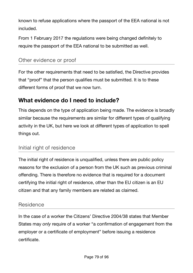known to refuse applications where the passport of the EEA national is not included.

From 1 February 2017 the regulations were being changed definitely to require the passport of the EEA national to be submitted as well.

#### Other evidence or proof

For the other requirements that need to be satisfied, the Directive provides that "proof" that the person qualifies must be submitted. It is to these different forms of proof that we now turn.

## **What evidence do I need to include?**

This depends on the type of application being made. The evidence is broadly similar because the requirements are similar for different types of qualifying activity in the UK, but here we look at different types of application to spell things out.

### Initial right of residence

The initial right of residence is unqualified, unless there are public policy reasons for the exclusion of a person from the UK such as previous criminal offending. There is therefore no evidence that is required for a document certifying the initial right of residence, other than the EU citizen is an EU citizen and that any family members are related as claimed.

#### Residence

In the case of a worker the Citizens' Directive 2004/38 states that Member States may *only* require of a worker "a confirmation of engagement from the employer or a certificate of employment" before issuing a residence certificate.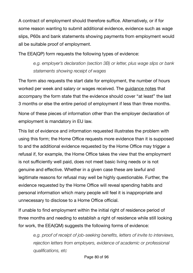A contract of employment should therefore suffice. Alternatively, or if for some reason wanting to submit additional evidence, evidence such as wage slips, P60s and bank statements showing payments from employment would all be suitable proof of employment.

The EEA(QP) form requests the following types of evidence:

*e.g. employer's declaration (section 3B) or letter, plus wage slips or bank statements showing receipt of wages*

The form also requests the start date for employment, the number of hours worked per week and salary or wages received. The [guidance notes](https://www.gov.uk/government/publications/apply-for-a-registration-certificate-as-a-qualified-person-form-eea-qp) that accompany the form state that the evidence should cover "at least" the last 3 months or else the entire period of employment if less than three months.

None of these pieces of information other than the employer declaration of employment is mandatory in EU law.

This list of evidence and information requested illustrates the problem with using this form; the Home Office requests more evidence than it is supposed to and the additional evidence requested by the Home Office may trigger a refusal if, for example, the Home Office takes the view that the employment is not sufficiently well paid, does not meet basic living needs or is not genuine and effective. Whether in a given case these are lawful and legitimate reasons for refusal may well be highly questionable. Further, the evidence requested by the Home Office will reveal spending habits and personal information which many people will feel it is inappropriate and unnecessary to disclose to a Home Office official.

If unable to find employment within the initial right of residence period of three months and needing to establish a right of residence while still looking for work, the EEA(QM) suggests the following forms of evidence:

*e.g. proof of receipt of job-seeking benefits, letters of invite to interviews, rejection letters from employers, evidence of academic or professional qualifications, etc*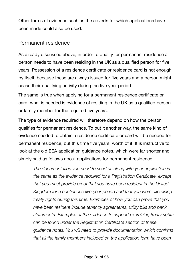Other forms of evidence such as the adverts for which applications have been made could also be used.

#### Permanent residence

As already discussed above, in order to qualify for permanent residence a person needs to have been residing in the UK as a qualified person for five years. Possession of a residence certificate or residence card is not enough by itself, because these are always issued for five years and a person might cease their qualifying activity during the five year period.

The same is true when applying for a permanent residence certificate or card; what is needed is evidence of residing in the UK as a qualified person or family member for the required five years.

The type of evidence required will therefore depend on how the person qualifies for permanent residence. To put it another way, the same kind of evidence needed to obtain a residence certificate or card will be needed for permanent residence, but this time five years' worth of it. It is instructive to look at the old [EEA application guidance notes,](http://webarchive.nationalarchives.gov.uk/20141203164455/https://www.gov.uk/government/publications/guidance-on-applications-for-residence-documents-for-eea-nationals) which were far shorter and simply said as follows about applications for permanent residence:

*The documentation you need to send us along with your application is the same as the evidence required for a Registration Certificate, except that you must provide proof that you have been resident in the United Kingdom for a continuous five-year period and that you were exercising treaty rights during this time. Examples of how you can prove that you have been resident include tenancy agreements, utility bills and bank statements. Examples of the evidence to support exercising treaty rights can be found under the Registration Certificate section of these guidance notes. You will need to provide documentation which confirms that all the family members included on the application form have been*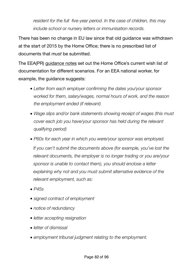*resident for the full five-year period. In the case of children, this may include school or nursery letters or immunisation records.*

There has been no change in EU law since that old guidance was withdrawn at the start of 2015 by the Home Office; there is no prescribed list of documents that *must* be submitted.

The EEA(PR) [guidance notes](https://www.gov.uk/government/publications/apply-for-a-document-certifying-permanent-residence-or-permanent-residence-card-form-eea-pr) set out the Home Office's current wish list of documentation for different scenarios. For an EEA national worker, for example, the guidance suggests:

- *• Letter from each employer confirming the dates you/your sponsor worked for them, salary/wages, normal hours of work, and the reason the employment ended (if relevant)*
- *• Wage slips and/or bank statements showing receipt of wages (this must cover each job you have/your sponsor has held during the relevant qualifying period)*
- *• P60s for each year in which you were/your sponsor was employed. If you can't submit the documents above (for example, you've lost the relevant documents, the employer is no longer trading or you are/your sponsor is unable to contact them), you should enclose a letter explaining why not and you must submit alternative evidence of the relevant employment, such as:*
- *• P45s*
- *• signed contract of employment*
- *• notice of redundancy*
- *• letter accepting resignation*
- *• letter of dismissal*
- *• employment tribunal judgment relating to the employment.*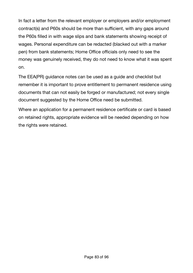In fact a letter from the relevant employer or employers and/or employment contract(s) and P60s should be more than sufficient, with any gaps around the P60s filled in with wage slips and bank statements showing receipt of wages. Personal expenditure can be redacted (blacked out with a marker pen) from bank statements; Home Office officials only need to see the money was genuinely received, they do not need to know what it was spent on.

The EEA(PR) guidance notes can be used as a guide and checklist but remember it is important to prove entitlement to permanent residence using documents that can not easily be forged or manufactured; not every single document suggested by the Home Office need be submitted.

Where an application for a permanent residence certificate or card is based on retained rights, appropriate evidence will be needed depending on how the rights were retained.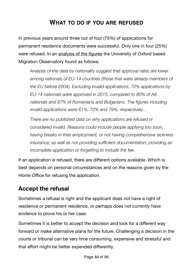## **WHAT TO DO IF YOU ARE REFUSED**

In previous years around three out of four (75%) of applications for permanent residence documents were successful. Only one in four (25%) were refused. In an [analysis of the figures](http://www.migrationobservatory.ox.ac.uk/resources/commentaries/today-gone-tomorrow-status-eu-citizens-already-living-uk/) the University of Oxford based Migration Observatory found as follows:

*Analysis of the data by nationality suggest that approval rates are lower among nationals of EU-14 countries (those that were already members of the EU before 2004). Excluding invalid applications, 72% applications by EU-14 nationals were approved in 2015, compared to 80% of A8 nationals and 87% of Romanians and Bulgarians. The figures including invalid applications were 61%, 72% and 79%, respectively…* 

*There are no published data on why applications are refused or considered invalid. Reasons could include people applying too soon, having breaks in their employment, or not having comprehensive sickness insurance; as well as not providing sufficient documentation, providing an incomplete application or forgetting to include the fee.*

If an application is refused, there are different options available. Which is best depends on personal circumstances and on the reasons given by the Home Office for refusing the application.

## **Accept the refusal**

Sometimes a refusal is right and the applicant does not have a right of residence or permanent residence, or perhaps does not currently have evidence to prove his or her case.

Sometimes it is better to accept the decision and look for a different way forward or make alternative plans for the future. Challenging a decision in the courts or tribunal can be very time consuming, expensive and stressful and that effort might be better expended differently.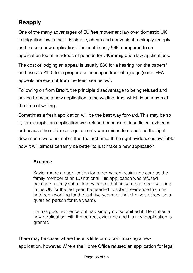# **Reapply**

One of the many advantages of EU free movement law over domestic UK immigration law is that it is simple, cheap and convenient to simply reapply and make a new application. The cost is only £65, compared to an application fee of hundreds of pounds for UK immigration law applications.

The cost of lodging an appeal is usually £80 for a hearing "on the papers" and rises to £140 for a proper oral hearing in front of a judge (some EEA appeals are exempt from the fees: see below).

Following on from Brexit, the principle disadvantage to being refused and having to make a new application is the waiting time, which is unknown at the time of writing.

Sometimes a fresh application will be the best way forward. This may be so if, for example, an application was refused because of insufficient evidence or because the evidence requirements were misunderstood and the right documents were not submitted the first time. If the right evidence is available now it will almost certainly be better to just make a new application.

#### **Example**

Xavier made an application for a permanent residence card as the family member of an EU national. His application was refused because he only submitted evidence that his wife had been working in the UK for the last year; he needed to submit evidence that she had been working for the last five years (or that she was otherwise a qualified person for five years).

He has good evidence but had simply not submitted it. He makes a new application with the correct evidence and his new application is granted.

There may be cases where there is little or no point making a new application, however. Where the Home Office refused an application for legal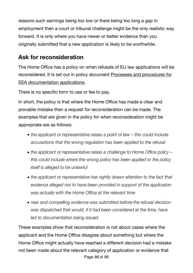reasons such earnings being too low or there being too long a gap in employment then a court or tribunal challenge might be the only realistic way forward. It is only where you have newer or better evidence than you originally submitted that a new application is likely to be worthwhile.

# **Ask for reconsideration**

The Home Office has a policy on when refusals of EU law applications will be reconsidered. It is set out in policy document [Processes and procedures for](http://www.apple.com)  [EEA documentation applications.](http://www.apple.com)

There is no specific form to use or fee to pay.

In short, the policy is that where the Home Office has made a clear and provable mistake then a request for reconsideration can be made. The examples that are given in the policy for when reconsideration might be appropriate are as follows:

- *• the applicant or representative raises a point of law this could include accusations that the wrong regulation has been applied to the refusal*
- *• the applicant or representative raises a challenge to Home Office policy this could include where the wrong policy has been applied or the policy itself is alleged to be unlawful*
- *• the applicant or representative has rightly drawn attention to the fact that evidence alleged not to have been provided in support of the application was actually with the Home Office at the relevant time*
- *• new and compelling evidence was submitted before the refusal decision was dispatched that would, if it had been considered at the time, have led to documentation being issued*

These examples show that reconsideration is not about cases where the applicant and the Home Office disagree about something but where the Home Office might actually have reached a different decision had a mistake not been made about the relevant category of application or evidence that Page 86 of 96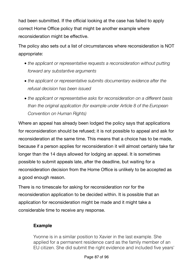had been submitted. If the official looking at the case has failed to apply correct Home Office policy that might be another example where reconsideration might be effective.

The policy also sets out a list of circumstances where reconsideration is NOT appropriate:

- *• the applicant or representative requests a reconsideration without putting forward any substantive arguments*
- *• the applicant or representative submits documentary evidence after the refusal decision has been issued*
- *• the applicant or representative asks for reconsideration on a different basis than the original application (for example under Article 8 of the European Convention on Human Rights)*

Where an appeal has already been lodged the policy says that applications for reconsideration should be refused; it is not possible to appeal and ask for reconsideration at the same time. This means that a choice has to be made, because if a person applies for reconsideration it will almost certainly take far longer than the 14 days allowed for lodging an appeal. It is sometimes possible to submit appeals late, after the deadline, but waiting for a reconsideration decision from the Home Office is unlikely to be accepted as a good enough reason.

There is no timescale for asking for reconsideration nor for the reconsideration application to be decided within. It is possible that an application for reconsideration might be made and it might take a considerable time to receive any response.

#### **Example**

Yvonne is in a similar position to Xavier in the last example. She applied for a permanent residence card as the family member of an EU citizen. She did submit the right evidence and included five years'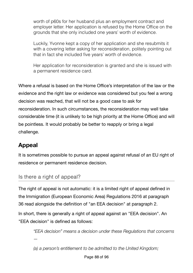worth of p60s for her husband plus an employment contract and employer letter. Her application is refused by the Home Office on the grounds that she only included one years' worth of evidence.

Luckily, Yvonne kept a copy of her application and she resubmits it with a covering letter asking for reconsideration, politely pointing out that in fact she included five years' worth of evidence.

Her application for reconsideration is granted and she is issued with a permanent residence card.

Where a refusal is based on the Home Office's interpretation of the law or the evidence and the right law or evidence was considered but you feel a wrong decision was reached, that will not be a good case to ask for reconsideration. In such circumstances, the reconsideration may well take considerable time (it is unlikely to be high priority at the Home Office) and will be pointless. It would probably be better to reapply or bring a legal challenge.

# **Appeal**

It is sometimes possible to pursue an appeal against refusal of an EU right of residence or permanent residence decision.

### Is there a right of appeal?

*—* 

The right of appeal is not automatic: it is a limited right of appeal defined in the Immigration (European Economic Area) Regulations 2016 at paragraph 36 read alongside the definition of "an EEA decision" at paragraph 2.

In short, there is generally a right of appeal against an "EEA decision". An "EEA decision" is defined as follows:

*"EEA decision" means a decision under these Regulations that concerns*

*(a) a person's entitlement to be admitted to the United Kingdom;*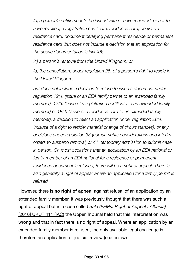*(b) a person's entitlement to be issued with or have renewed, or not to have revoked, a registration certificate, residence card, derivative residence card, document certifying permanent residence or permanent residence card (but does not include a decision that an application for the above documentation is invalid);* 

*(c) a person's removal from the United Kingdom; or* 

*(d) the cancellation, under regulation 25, of a person's right to reside in the United Kingdom,* 

*but does not include a decision to refuse to issue a document under regulation 12(4) (issue of an EEA family permit to an extended family member), 17(5) (issue of a registration certificate to an extended family member) or 18(4) (issue of a residence card to an extended family member), a decision to reject an application under regulation 26(4) (misuse of a right to reside: material change of circumstances), or any decisions under regulation 33 (human rights considerations and interim orders to suspend removal) or 41 (temporary admission to submit case in person) On most occasions that an application by an EEA national or*  family member of an EEA national for a residence or permanent *residence document is refused, there will be a right of appeal. There is also generally a right of appeal where an application for a family permit is refused.* 

However, there is **no right of appeal** against refusal of an application by an extended family member. It was previously thought that there was such a right of appeal but in a case called *Sala (EFMs: Right of Appeal : Albania)* [\[2016\] UKUT 411 \(IAC\)](http://www.bailii.org/uk/cases/UKUT/IAC/2016/411.html) the Upper Tribunal held that this interpretation was wrong and that in fact there is no right of appeal. Where an application by an extended family member is refused, the only available legal challenge is therefore an application for judicial review (see below).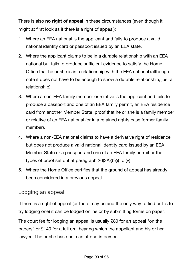There is also **no right of appeal** in these circumstances (even though it might at first look as if there is a right of appeal):

- 1. Where an EEA national is the applicant and fails to produce a valid national identity card or passport issued by an EEA state.
- 2. Where the applicant claims to be in a durable relationship with an EEA national but fails to produce sufficient evidence to satisfy the Home Office that he or she is in a relationship with the EEA national (although note it does not have to be enough to show a durable relationship, just a relationship).
- 3. Where a non-EEA family member or relative is the applicant and fails to produce a passport and one of an EEA family permit, an EEA residence card from another Member State, proof that he or she is a family member or relative of an EEA national (or in a retained rights case former family member).
- 4. Where a non-EEA national claims to have a derivative right of residence but does not produce a valid national identity card issued by an EEA Member State or a passport and one of an EEA family permit or the types of proof set out at paragraph 26(3A)(b)(i) to (v).
- 5. Where the Home Office certifies that the ground of appeal has already been considered in a previous appeal.

### Lodging an appeal

If there is a right of appeal (or there may be and the only way to find out is to try lodging one) it can be lodged online or by submitting forms on paper.

The court fee for lodging an appeal is usually £80 for an appeal "on the papers" or £140 for a full oral hearing which the appellant and his or her lawyer, if he or she has one, can attend in person.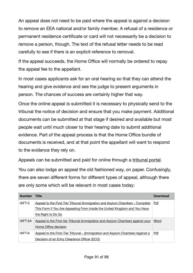An appeal does not need to be paid where the appeal is against a decision to remove an EEA national and/or family member. A refusal of a residence or permanent residence certificate or card will not necessarily be a decision to remove a person, though. The text of the refusal letter needs to be read carefully to see if there is an explicit reference to removal.

If the appeal succeeds, the Home Office will normally be ordered to repay the appeal fee to the appellant.

In most cases applicants ask for an oral hearing so that they can attend the hearing and give evidence and see the judge to present arguments in person. The chances of success are certainly higher that way.

Once the online appeal is submitted it is necessary to physically send to the tribunal the notice of decision and ensure that you make payment. Additional documents can be submitted at that stage if desired and available but most people wait until much closer to their hearing date to submit additional evidence. Part of the appeal process is that the Home Office bundle of documents is received, and at that point the appellant will want to respond to the evidence they rely on.

Appeals can be submitted and paid for online through a [tribunal portal](https://immigrationappealsonline.justice.gov.uk/IACFees/).

You can also lodge an appeal the old fashioned way, on paper. Confusingly, there are seven different forms for different types of appeal, although there are only some which will be relevant in most cases today:

| <b>Number</b> | <b>Title</b>                                                                    | <b>Download</b> |
|---------------|---------------------------------------------------------------------------------|-----------------|
| IAFT-5        | Appeal to the First-Tier Tribunal (Immigration and Asylum Chamber) – Complete   | Pdf             |
|               | This Form if You Are Appealing From Inside the United Kingdom and You Have      |                 |
|               | the Right to Do So                                                              |                 |
| IAFT-5A       | Appeal to the First-tier Tribunal (Immigration and Asylum Chamber) against your | Word            |
|               | Home Office decision                                                            |                 |
| IAFT-6        | Appeal to the First-Tier Tribunal – (Immigration and Asylum Chamber) Against a  | Pdf             |
|               | Decision of an Entry Clearance Officer (ECO)                                    |                 |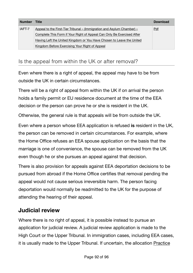| <b>Number</b> | Title                                                                  | <b>Download</b> |
|---------------|------------------------------------------------------------------------|-----------------|
| IAFT-7        | Appeal to the First-Tier Tribunal – (Immigration and Asylum Chamber) – | Pdf             |
|               | Complete This Form if Your Right of Appeal Can Only Be Exercised After |                 |
|               | Having Left the United Kingdom or You Have Chosen to Leave the United  |                 |
|               | Kingdom Before Exercising Your Right of Appeal                         |                 |

### Is the appeal from within the UK or after removal?

Even where there is a right of appeal, the appeal may have to be from outside the UK in certain circumstances.

There will be a right of appeal from within the UK if on arrival the person holds a family permit or EU residence document at the time of the EEA decision or the person can prove he or she is resident in the UK.

Otherwise, the general rule is that appeals will be from outside the UK.

Even where a person whose EEA application is refused **is** resident in the UK, the person can be removed in certain circumstances. For example, where the Home Office refuses an EEA spouse application on the basis that the marriage is one of convenience, the spouse can be removed from the UK even though he or she pursues an appeal against that decision.

There is also provision for appeals against EEA deportation decisions to be pursued from abroad if the Home Office certifies that removal pending the appeal would not cause serious irreversible harm. The person facing deportation would normally be readmitted to the UK for the purpose of attending the hearing of their appeal.

## **Judicial review**

Where there is no right of appeal, it is possible instead to pursue an application for judicial review. A judicial review application is made to the High Court or the Upper Tribunal. In immigration cases, including EEA cases, it is usually made to the Upper Tribunal. If uncertain, the allocation [Practice](http://www.judiciary.gov.uk/Resources/JCO/Documents/Practice%20Directions/Tribunals/lcj-direction-jr-iac-21-08-2013.pdf)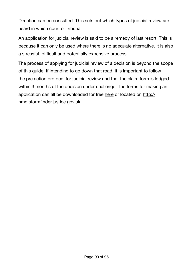[Direction](http://www.judiciary.gov.uk/Resources/JCO/Documents/Practice%20Directions/Tribunals/lcj-direction-jr-iac-21-08-2013.pdf) can be consulted. This sets out which types of judicial review are heard in which court or tribunal.

An application for judicial review is said to be a remedy of last resort. This is because it can only be used where there is no adequate alternative. It is also a stressful, difficult and potentially expensive process.

The process of applying for judicial review of a decision is beyond the scope of this guide. If intending to go down that road, it is important to follow the [pre action protocol for judicial review](http://www.justice.gov.uk/courts/procedure-rules/civil/protocol/prot_jrv) and that the claim form is lodged within 3 months of the decision under challenge. The forms for making an application can all be downloaded for free [here](http://hmctsformfinder.justice.gov.uk/HMCTS/GetLeaflet.do?court_leaflets_id=2841) or located on [http://](http://hmctsformfinder.justice.gov.uk) [hmctsformfinder.justice.gov.uk.](http://hmctsformfinder.justice.gov.uk)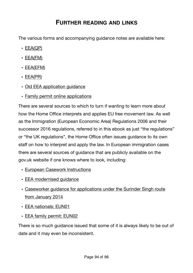## **FURTHER READING AND LINKS**

The various forms and accompanying guidance notes are available here:

- [EEA\(QP\)](https://www.gov.uk/government/publications/apply-for-a-registration-certificate-as-a-qualified-person-form-eea-qp)
- $\cdot$  [EEA\(FM\)](https://www.gov.uk/government/publications/apply-for-a-registration-certificate-or-residence-card-for-a-family-member-form-eea-fm)
- $\cdot$  [EEA\(EFM\)](https://www.gov.uk/government/publications/apply-for-a-registration-certificate-or-residence-card-for-an-extended-family-member-form-eea-efm)
- [EEA\(PR\)](https://www.gov.uk/government/publications/apply-for-a-document-certifying-permanent-residence-or-permanent-residence-card-form-eea-pr)
- [Old EEA application guidance](http://webarchive.nationalarchives.gov.uk/20141203164455/https://www.gov.uk/government/publications/guidance-on-applications-for-residence-documents-for-eea-nationals)
- [Family permit online applications](https://www.gov.uk/family-permit/overview)

There are several sources to which to turn if wanting to learn more about how the Home Office interprets and applies EU free movement law. As well as the Immigration (European Economic Area) Regulations 2006 and their successor 2016 regulations, referred to in this ebook as just "the regulations" or "the UK regulations", the Home Office often issues guidance to its own staff on how to interpret and apply the law. In European immigration cases there are several sources of guidance that are publicly available on the gov.uk website if one knows where to look, including:

- [European Casework Instructions](https://www.gov.uk/government/publications/european-casework-instructions)
- [EEA modernised guidance](https://www.gov.uk/government/collections/eea-swiss-nationals-and-ec-association-agreements-modernised-guidance)
- [Caseworker guidance for applications under the Surinder Singh route](https://www.gov.uk/government/publications/caseworker-guidance-for-applications-under-the-surinder-singh-route-from-january-2014)  [from January 2014](https://www.gov.uk/government/publications/caseworker-guidance-for-applications-under-the-surinder-singh-route-from-january-2014)
- [EEA nationals: EUN01](https://www.gov.uk/government/publications/eea-nationals-eun01/eea-nationals-eun01)
- [EEA family permit: EUN02](https://www.gov.uk/government/publications/eea-family-permits-eun02/eea-family-permit-eun02#eun214-can-family-members-of-british-citizens-qualify-for-an-eea-family-permit-surinder-singh-cases)

There is so much guidance issued that some of it is always likely to be out of date and it may even be inconsistent.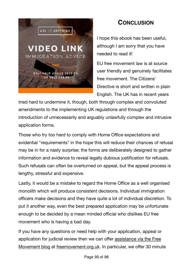

# **CONCLUSION**

I hope this ebook has been useful, although I am sorry that you have needed to read it!

EU free movement law is at source user friendly and genuinely facilitates free movement. The Citizens' Directive is short and written in plain English. The UK has in recent years

tried hard to undermine it, though, both through complex and convoluted amendments to the implementing UK regulations and through the introduction of unnecessarily and arguably unlawfully complex and intrusive application forms.

Those who try too hard to comply with Home Office expectations and evidential "requirements" in the hope this will reduce their chances of refusal may be in for a nasty surprise; the forms are deliberately designed to gather information and evidence to reveal legally dubious justification for refusals. Such refusals can often be overturned on appeal, but the appeal process is lengthy, stressful and expensive.

Lastly, it would be a mistake to regard the Home Office as a well organised monolith which will produce consistent decisions. Individual immigration officers make decisions and they have quite a lot of individual discretion. To put it another way, even the best prepared application may be unfortunate enough to be decided by a mean minded official who dislikes EU free movement who is having a bad day.

If you have any questions or need help with your application, appeal or application for judicial review then we can offer [assistance via the Free](https://www.freemovement.org.uk/legal-advice/)  [Movement blog](https://www.freemovement.org.uk/legal-advice/) at [freemovement.org.uk](http://freemovement.org.uk). In particular, we offer 30 minute